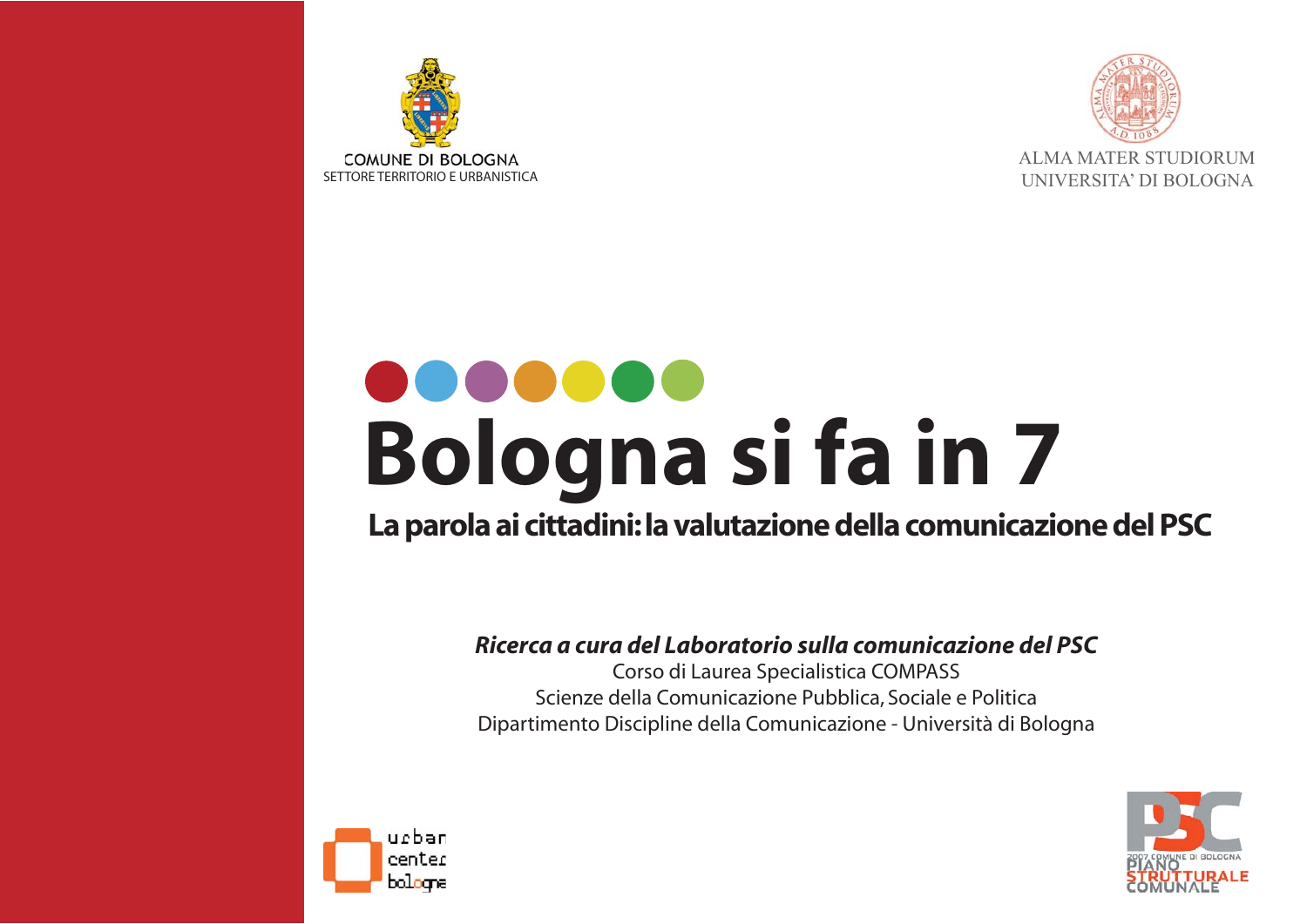



### UU OOOOO **Bologna si fa in 7**

#### La parola ai cittadini: la valutazione della comunicazione del PSC

#### Ricerca a cura del Laboratorio sulla comunicazione del PSC

Corso di Laurea Specialistica COMPASS Scienze della Comunicazione Pubblica, Sociale e Politica Dipartimento Discipline della Comunicazione - Università di Bologna



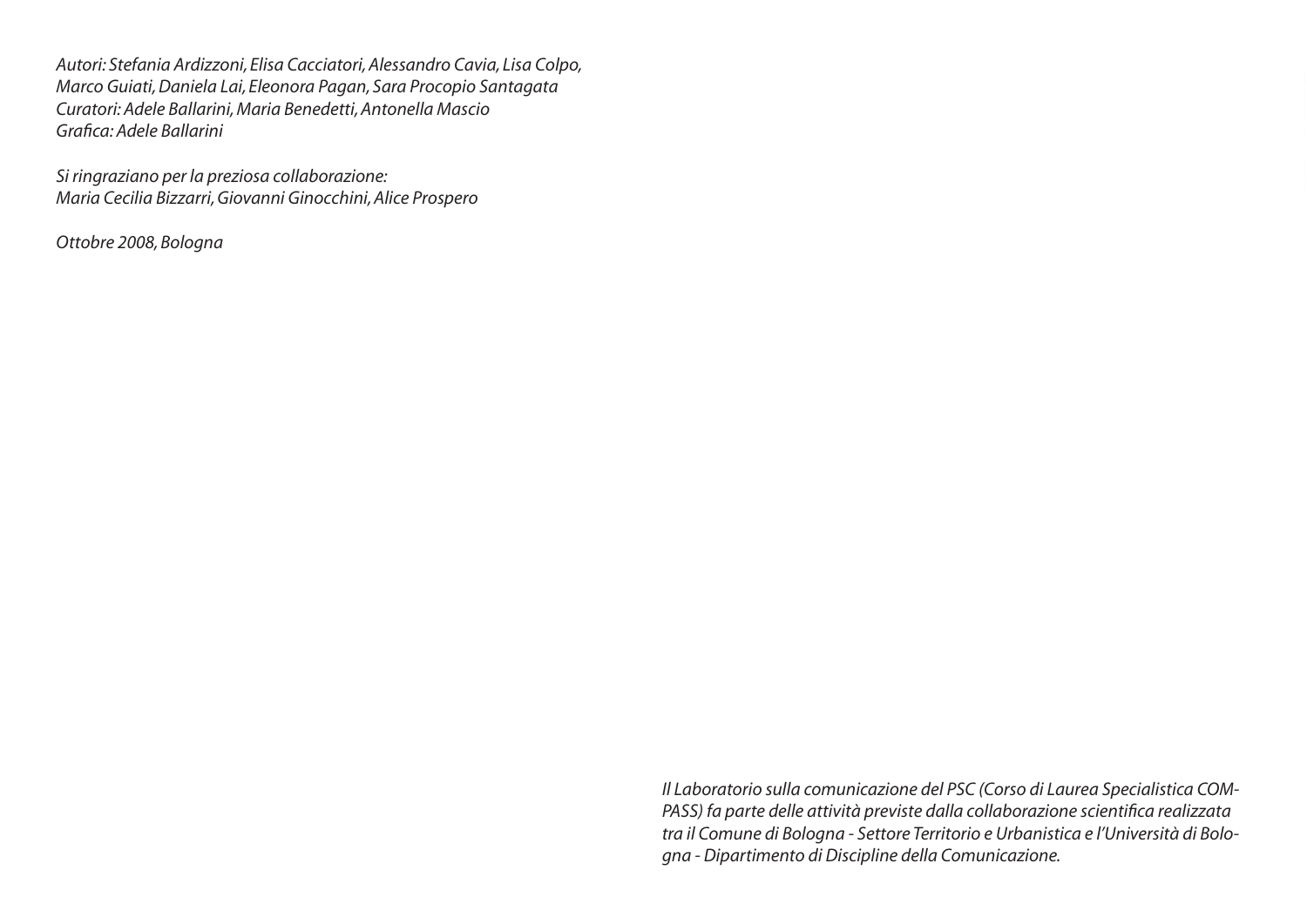Autori: Stefania Ardizzoni, Elisa Cacciatori, Alessandro Cavia, Lisa Colpo, Marco Guiati, Daniela Lai, Eleonora Pagan, Sara Procopio Santagata Curatori: Adele Ballarini, Maria Benedetti, Antonella Mascio Grafica: Adele Ballarini

Si ringraziano per la preziosa collaborazione: Maria Cecilia Bizzarri, Giovanni Ginocchini, Alice Prospero

Ottobre 2008, Bologna

Il Laboratorio sulla comunicazione del PSC (Corso di Laurea Specialistica COM-PASS) fa parte delle attività previste dalla collaborazione scientifica realizzata tra il Comune di Bologna - Settore Territorio e Urbanistica e l'Università di Bologna - Dipartimento di Discipline della Comunicazione.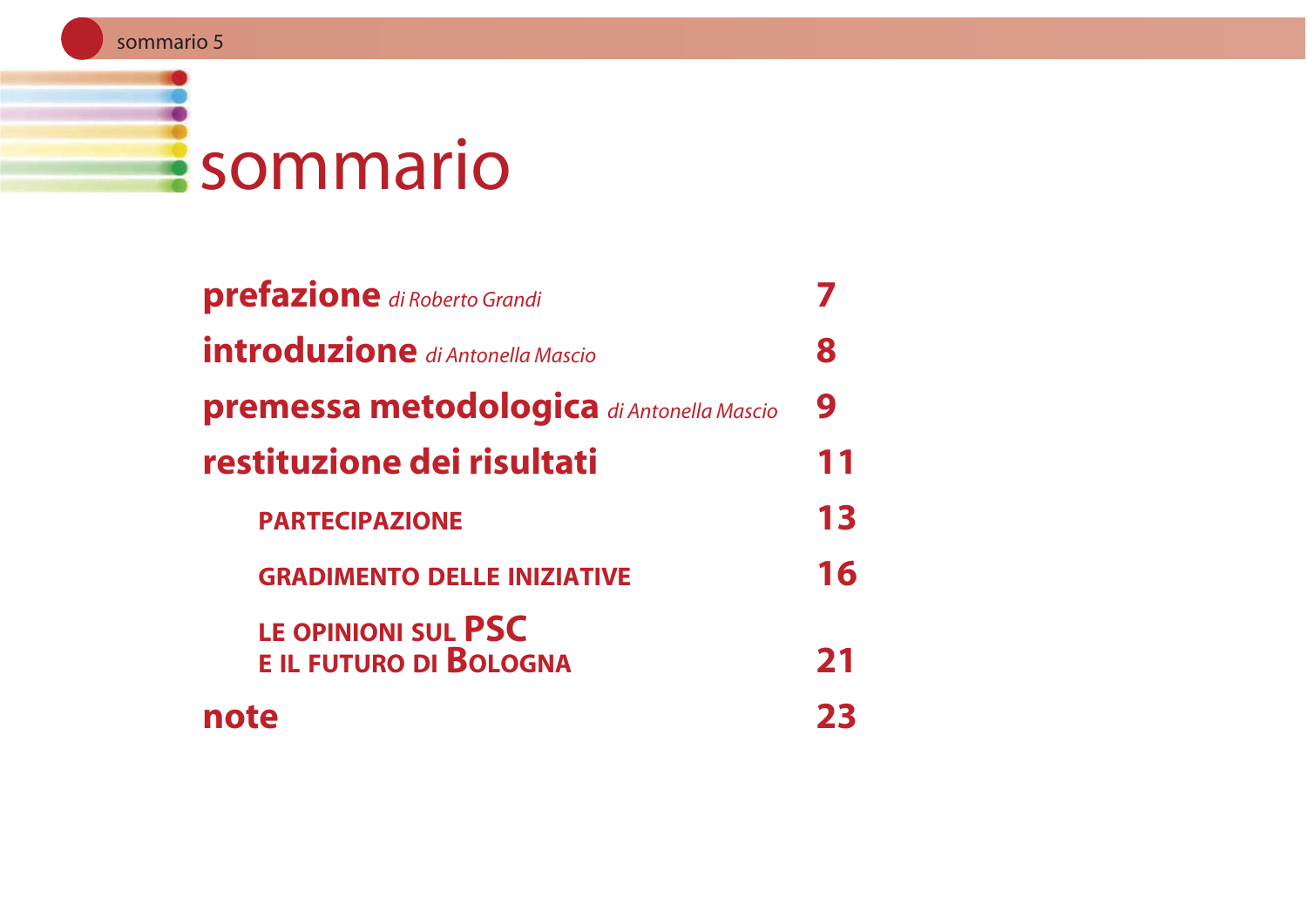## **Esommario**

| <b>prefazione</b> di Roberto Grandi              |    |
|--------------------------------------------------|----|
| <b>introduzione</b> di Antonella Mascio          | 8  |
| <b>premessa metodologica</b> di Antonella Mascio | 9  |
| restituzione dei risultati                       | 11 |
| <b>PARTECIPAZIONE</b>                            | 13 |
| <b>GRADIMENTO DELLE INIZIATIVE</b>               | 16 |
| LE OPINIONI SUL PSC<br>E IL FUTURO DI BOLOGNA    | 21 |
| note                                             |    |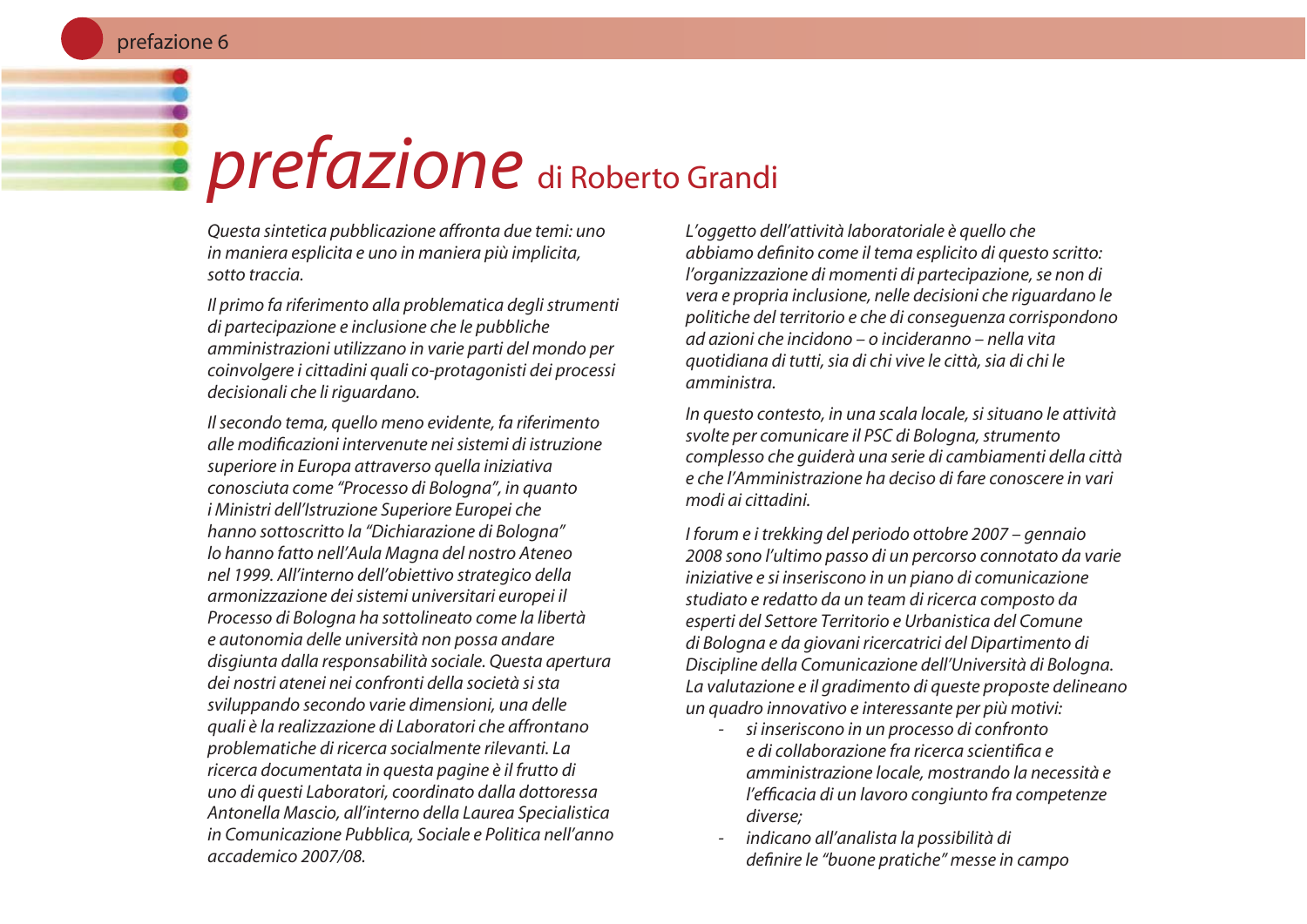#### prefazione 6

### prefazione di Roberto Grandi

Questa sintetica pubblicazione affronta due temi: uno in maniera esplicita e uno in maniera più implicita, sotto traccia.

Il primo fa riferimento alla problematica degli strumenti di partecipazione e inclusione che le pubbliche amministrazioni utilizzano in varie parti del mondo per coinvolgere i cittadini quali co-protagonisti dei processi decisionali che li riguardano.

Il secondo tema, quello meno evidente, fa riferimento alle modificazioni intervenute nei sistemi di istruzione superiore in Europa attraverso quella iniziativa conosciuta come "Processo di Bologna", in quanto *i Ministri dell'Istruzione Superiore Europei che* hanno sottoscritto la "Dichiarazione di Bologna" lo hanno fatto nell'Aula Magna del nostro Ateneo nel 1999. All'interno dell'obiettivo strategico della armonizzazione dei sistemi universitari europei il Processo di Bologna ha sottolineato come la libertà e autonomia delle università non possa andare disgiunta dalla responsabilità sociale. Questa apertura dei nostri atenei nei confronti della società si sta sviluppando secondo varie dimensioni, una delle quali è la realizzazione di Laboratori che affrontano problematiche di ricerca socialmente rilevanti. La ricerca documentata in questa pagine è il frutto di uno di questi Laboratori, coordinato dalla dottoressa Antonella Mascio, all'interno della Laurea Specialistica in Comunicazione Pubblica, Sociale e Politica nell'anno accademico 2007/08.

L'oggetto dell'attività laboratoriale è quello che abbiamo definito come il tema esplicito di questo scritto: l'organizzazione di momenti di partecipazione, se non di vera e propria inclusione, nelle decisioni che riquardano le politiche del territorio e che di conseguenza corrispondono ad azioni che incidono – o incideranno – nella vita auotidiana di tutti, sia di chi vive le città, sia di chi le amministra.

In questo contesto, in una scala locale, si situano le attività svolte per comunicare il PSC di Bologna, strumento complesso che quiderà una serie di cambiamenti della città e che l'Amministrazione ha deciso di fare conoscere in vari modi ai cittadini.

I forum e i trekking del periodo ottobre 2007 – gennaio 2008 sono l'ultimo passo di un percorso connotato da varie iniziative e si inseriscono in un piano di comunicazione studiato e redatto da un team di ricerca composto da esperti del Settore Territorio e Urbanistica del Comune di Bologna e da giovani ricercatrici del Dipartimento di Discipline della Comunicazione dell'Università di Bologna. La valutazione e il gradimento di queste proposte delineano un quadro innovativo e interessante per più motivi:

- si inseriscono in un processo di confronto e di collaborazione fra ricerca scientifica e amministrazione locale, mostrando la necessità e l'efficacia di un lavoro congiunto fra competenze diverse:
- indicano all'analista la possibilità di definire le "buone pratiche" messe in campo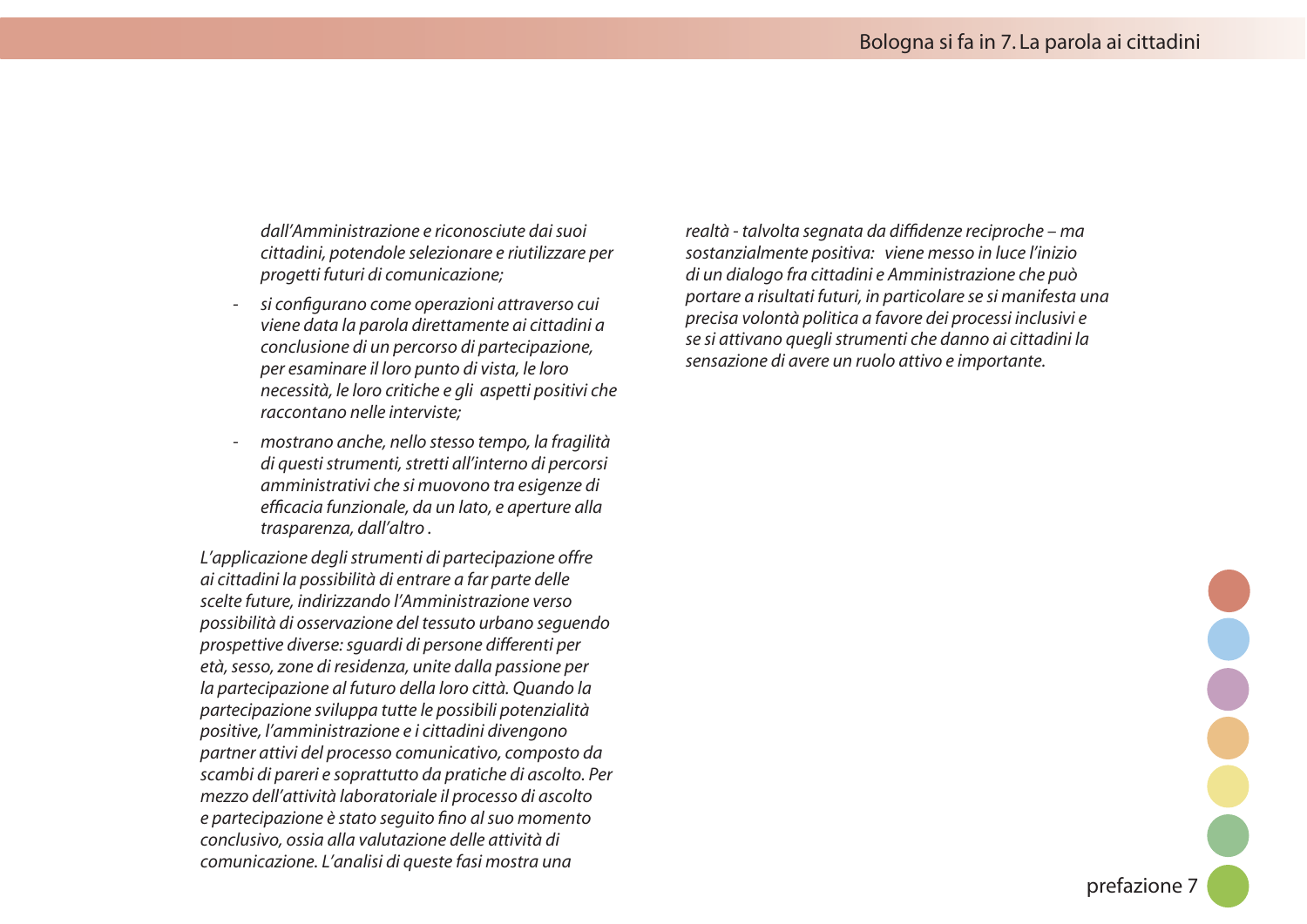*dall'Amministrazione e riconosciute dai suoi CITTADINIPOTENDOLESELEZIONAREERIUTILIZZAREPER progetti futuri di comunicazione:* 

- *SICONlGURANOCOMEOPERAZIONIATTRAVERSOCUI VIENEDATALAPAROLADIRETTAMENTEAICITTADINIA* conclusione di un percorso di partecipazione, *PERESAMINAREILLOROPUNTODIVISTALELORO NECESSITÌLELOROCRITICHEEGLIASPETTIPOSITIVICHE RACCONTANO Nelle interviste:*
- mostrano anche, nello stesso tempo, la fragilità di questi strumenti, stretti all'interno di percorsi *AMMINISTRATIVICHESIMUOVONOTRAESIGENZEDI* efficacia funzionale, da un lato, e aperture alla trasparenza, dall'altro.

L'applicazione degli strumenti di partecipazione offre ai cittadini la possibilità di entrare a far parte delle *SCELTEFUTUREINDIRIZZANDOL!MMINISTRAZIONEVERSO POSSIBILITÌDIOSSERVAZIONEDELTESSUTOURBANOSEGUENDO prospettive diverse: squardi di persone differenti per* età, sesso, zone di residenza, unite dalla passione per la partecipazione al futuro della loro città. Quando la partecipazione sviluppa tutte le possibili potenzialità *POSITIVELAMMINISTRAZIONEEICITTADINIDIVENGONO* partner attivi del processo comunicativo, composto da *SCAMBI di pareri e soprattutto da pratiche di ascolto. Per MEZZODELLATTIVITÌLABORATORIALEILPROCESSODIASCOLTO EPARTECIPAZIONEÒSTATOSEGUITOlNOALSUOMOMENTO CONClusivo, ossia alla valutazione delle attività di COMUNICAZIONE,ANALISIDIQUESTEFASIMOSTRAUNA*

realtà - talvolta segnata da diffidenze reciproche - ma *SOSTANZIALMENTEPOSITIVAVIENEMESSOINLUCELINIZIO DIUNDIALOGOFRACITTADINIE!MMINISTRAZIONECHEPUÛ* portare a risultati futuri, in particolare se si manifesta una *PRECISAVOLONTÌPOLITICAAFAVOREDEIPROCESSIINCLUSIVIE SESIATTIVANOQUEGLISTRUMENTICHEDANNOAICITTADINILA Sensazione di avere un ruolo attivo e importante.* 

prefazione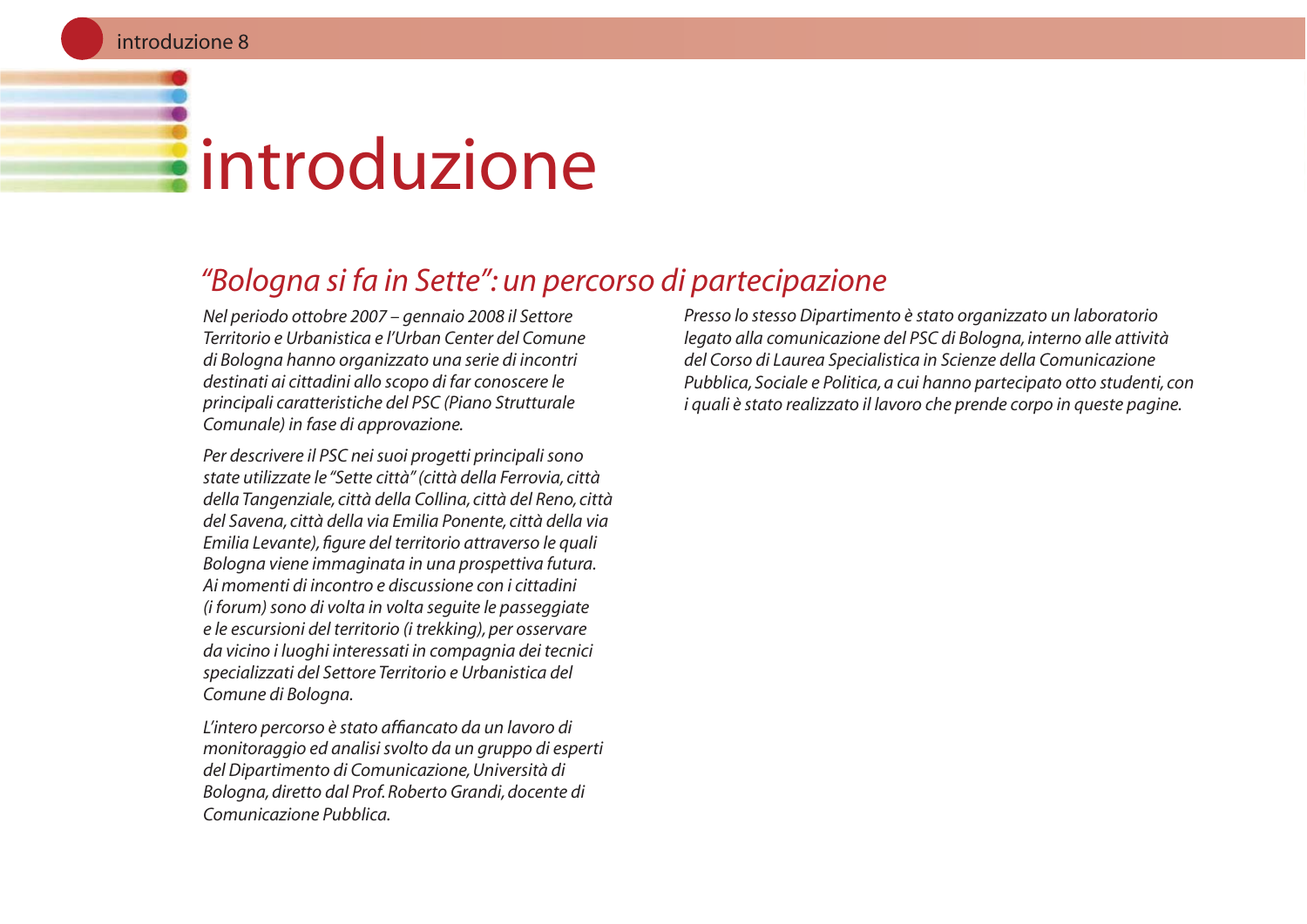# **Eintroduzione**

#### "Bologna si fa in Sette": un percorso di partecipazione

Nel periodo ottobre 2007 – gennaio 2008 il Settore Territorio e Urbanistica e l'Urban Center del Comune di Bologna hanno organizzato una serie di incontri destinati ai cittadini allo scopo di far conoscere le principali caratteristiche del PSC (Piano Strutturale Comunale) in fase di approvazione.

Per descrivere il PSC nei suoi progetti principali sono state utilizzate le "Sette città" (città della Ferrovia, città della Tangenziale, città della Collina, città del Reno, città del Savena, città della via Emilia Ponente, città della via Emilia Levante), figure del territorio attraverso le quali Bologna viene immaginata in una prospettiva futura. Ai momenti di incontro e discussione con i cittadini (i forum) sono di volta in volta seguite le passeggiate e le escursioni del territorio (i trekking), per osservare da vicino i luoghi interessati in compagnia dei tecnici specializzati del Settore Territorio e Urbanistica del Comune di Boloana.

L'intero percorso è stato affiancato da un lavoro di monitoraggio ed analisi svolto da un gruppo di esperti del Dipartimento di Comunicazione, Università di Bologna, diretto dal Prof. Roberto Grandi, docente di Comunicazione Pubblica.

Presso lo stesso Dipartimento è stato organizzato un laboratorio legato alla comunicazione del PSC di Bologna, interno alle attività del Corso di Laurea Specialistica in Scienze della Comunicazione Pubblica. Sociale e Politica, a cui hanno partecipato otto studenti, con i quali è stato realizzato il lavoro che prende corpo in queste pagine.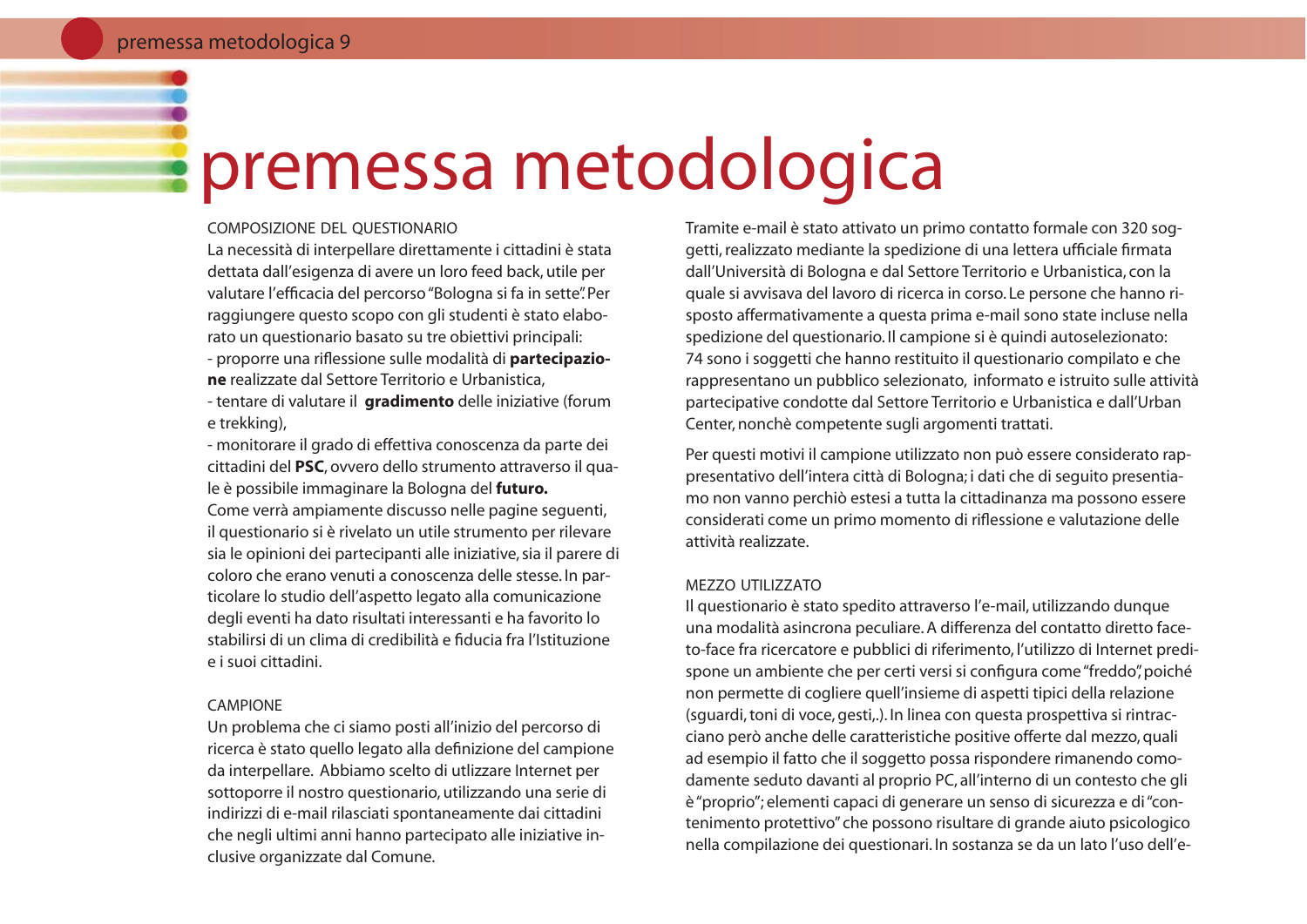### premessa metodologica

#### COMPOSIZIONE DEL OUESTIONARIO

La necessità di interpellare direttamente i cittadini è stata dettata dall'esigenza di avere un loro feed back, utile per valutare l'efficacia del percorso "Bologna si fa in sette". Per raggiungere questo scopo con gli studenti è stato elaborato un questionario basato su tre obiettivi principali: - proporre una riflessione sulle modalità di partecipazione realizzate dal Settore Territorio e Urbanistica. - tentare di valutare il **gradimento** delle iniziative (forum e trekking),

- monitorare il grado di effettiva conoscenza da parte dei cittadini del PSC, ovvero dello strumento attraverso il quale è possibile immaginare la Bologna del futuro. Come verrà ampiamente discusso nelle pagine sequenti, il questionario si è rivelato un utile strumento per rilevare sia le opinioni dei partecipanti alle iniziative, sia il parere di coloro che erano venuti a conoscenza delle stesse. In particolare lo studio dell'aspetto legato alla comunicazione degli eventi ha dato risultati interessanti e ha favorito lo stabilirsi di un clima di credibilità e fiducia fra l'Istituzione e i suoi cittadini.

#### CAMPIONE

Un problema che ci siamo posti all'inizio del percorso di ricerca è stato quello legato alla definizione del campione da interpellare. Abbiamo scelto di utlizzare Internet per sottoporre il nostro questionario, utilizzando una serie di indirizzi di e-mail rilasciati spontaneamente dai cittadini che negli ultimi anni hanno partecipato alle iniziative inclusive organizzate dal Comune.

Tramite e-mail è stato attivato un primo contatto formale con 320 soggetti, realizzato mediante la spedizione di una lettera ufficiale firmata dall'Università di Bologna e dal Settore Territorio e Urbanistica, con la quale si avvisava del lavoro di ricerca in corso. Le persone che hanno risposto affermativamente a questa prima e-mail sono state incluse nella spedizione del questionario. Il campione si è quindi autoselezionato: 74 sono i soggetti che hanno restituito il questionario compilato e che rappresentano un pubblico selezionato, informato e istruito sulle attività partecipative condotte dal Settore Territorio e Urbanistica e dall'Urban Center, nonchè competente sugli argomenti trattati.

Per questi motivi il campione utilizzato non può essere considerato rappresentativo dell'intera città di Bologna; i dati che di seguito presentiamo non vanno perchiò estesi a tutta la cittadinanza ma possono essere considerati come un primo momento di riflessione e valutazione delle attività realizzate

#### MEZZO UTILIZZATO

Il questionario è stato spedito attraverso l'e-mail, utilizzando dunque una modalità asincrona peculiare. A differenza del contatto diretto faceto-face fra ricercatore e pubblici di riferimento, l'utilizzo di Internet predispone un ambiente che per certi versi si configura come "freddo" poiché non permette di cogliere quell'insieme di aspetti tipici della relazione (squardi, toni di voce, gesti,.). In linea con questa prospettiva si rintracciano però anche delle caratteristiche positive offerte dal mezzo, quali ad esempio il fatto che il soggetto possa rispondere rimanendo comodamente seduto davanti al proprio PC, all'interno di un contesto che gli è "proprio"; elementi capaci di generare un senso di sicurezza e di "contenimento protettivo" che possono risultare di grande aiuto psicologico nella compilazione dei questionari. In sostanza se da un lato l'uso dell'e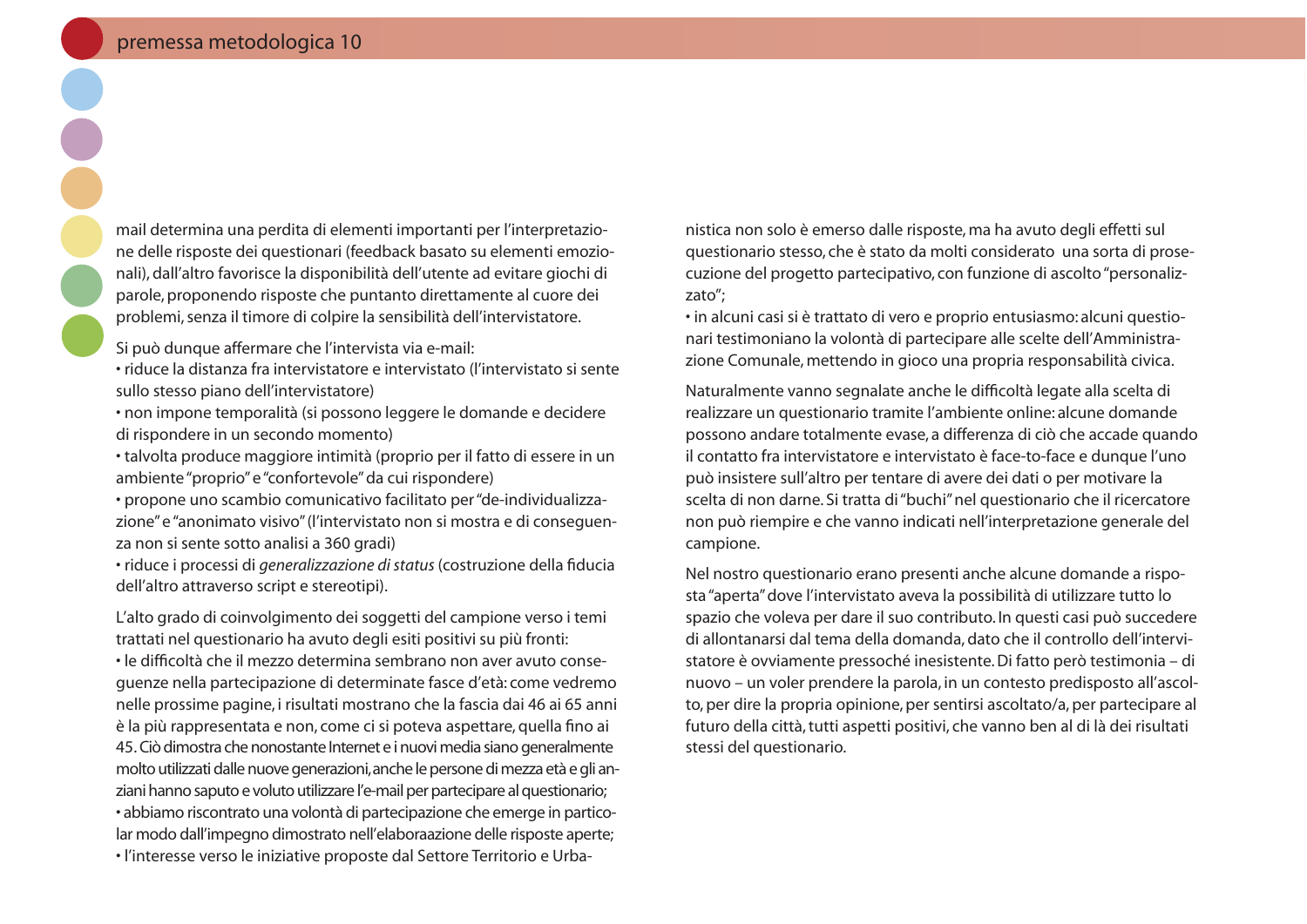mail determina una perdita di elementi importanti per l'interpretazione delle risposte dei questionari (feedback basato su elementi emozionali), dall'altro favorisce la disponibilità dell'utente ad evitare giochi di parole, proponendo risposte che puntanto direttamente al cuore dei problemi, senza il timore di colpire la sensibilità dell'intervistatore.

Si può dunque affermare che l'intervista via e-mail:

• riduce la distanza fra intervistatore e intervistato (l'intervistato si sente sullo stesso piano dell'intervistatore)

· non impone temporalità (si possono leggere le domande e decidere di rispondere in un secondo momento)

• talvolta produce maggiore intimità (proprio per il fatto di essere in un ambiente "proprio" e "confortevole" da cui rispondere)

· propone uno scambio comunicativo facilitato per "de-individualizzazione" e "anonimato visivo" (l'intervistato non si mostra e di consequenza non si sente sotto analisi a 360 gradi)

· riduce i processi di generalizzazione di status (costruzione della fiducia dell'altro attraverso script e stereotipi).

L'alto grado di coinvolgimento dei soggetti del campione verso i temi trattati nel questionario ha avuto degli esiti positivi su più fronti:

· le difficoltà che il mezzo determina sembrano non aver avuto consequenze nella partecipazione di determinate fasce d'età: come vedremo nelle prossime pagine, i risultati mostrano che la fascia dai 46 ai 65 anni è la più rappresentata e non, come ci si poteva aspettare, quella fino ai 45. Ciò dimostra che nonostante Internet e i nuovi media siano generalmente molto utilizzati dalle nuove generazioni, anche le persone di mezza età e gli anziani hanno saputo e voluto utilizzare l'e-mail per partecipare al questionario; · abbiamo riscontrato una volontà di partecipazione che emerge in particolar modo dall'impegno dimostrato nell'elaboraazione delle risposte aperte; · l'interesse verso le iniziative proposte dal Settore Territorio e Urba-

nistica non solo è emerso dalle risposte, ma ha avuto degli effetti sul questionario stesso, che è stato da molti considerato una sorta di prosecuzione del progetto partecipativo, con funzione di ascolto "personalizzato";

· in alcuni casi si è trattato di vero e proprio entusiasmo: alcuni questionari testimoniano la volontà di partecipare alle scelte dell'Amministrazione Comunale, mettendo in gioco una propria responsabilità civica.

Naturalmente vanno segnalate anche le difficoltà legate alla scelta di realizzare un questionario tramite l'ambiente online: alcune domande possono andare totalmente evase, a differenza di ciò che accade quando il contatto fra intervistatore e intervistato è face-to-face e dunque l'uno può insistere sull'altro per tentare di avere dei dati o per motivare la scelta di non darne. Si tratta di "buchi" nel questionario che il ricercatore non può riempire e che vanno indicati nell'interpretazione generale del campione.

Nel nostro questionario erano presenti anche alcune domande a risposta "aperta" dove l'intervistato aveva la possibilità di utilizzare tutto lo spazio che voleva per dare il suo contributo. In questi casi può succedere di allontanarsi dal tema della domanda, dato che il controllo dell'intervistatore è ovviamente pressoché inesistente. Di fatto però testimonia – di nuovo - un voler prendere la parola, in un contesto predisposto all'ascolto, per dire la propria opinione, per sentirsi ascoltato/a, per partecipare al futuro della città, tutti aspetti positivi, che vanno ben al di là dei risultati stessi del questionario.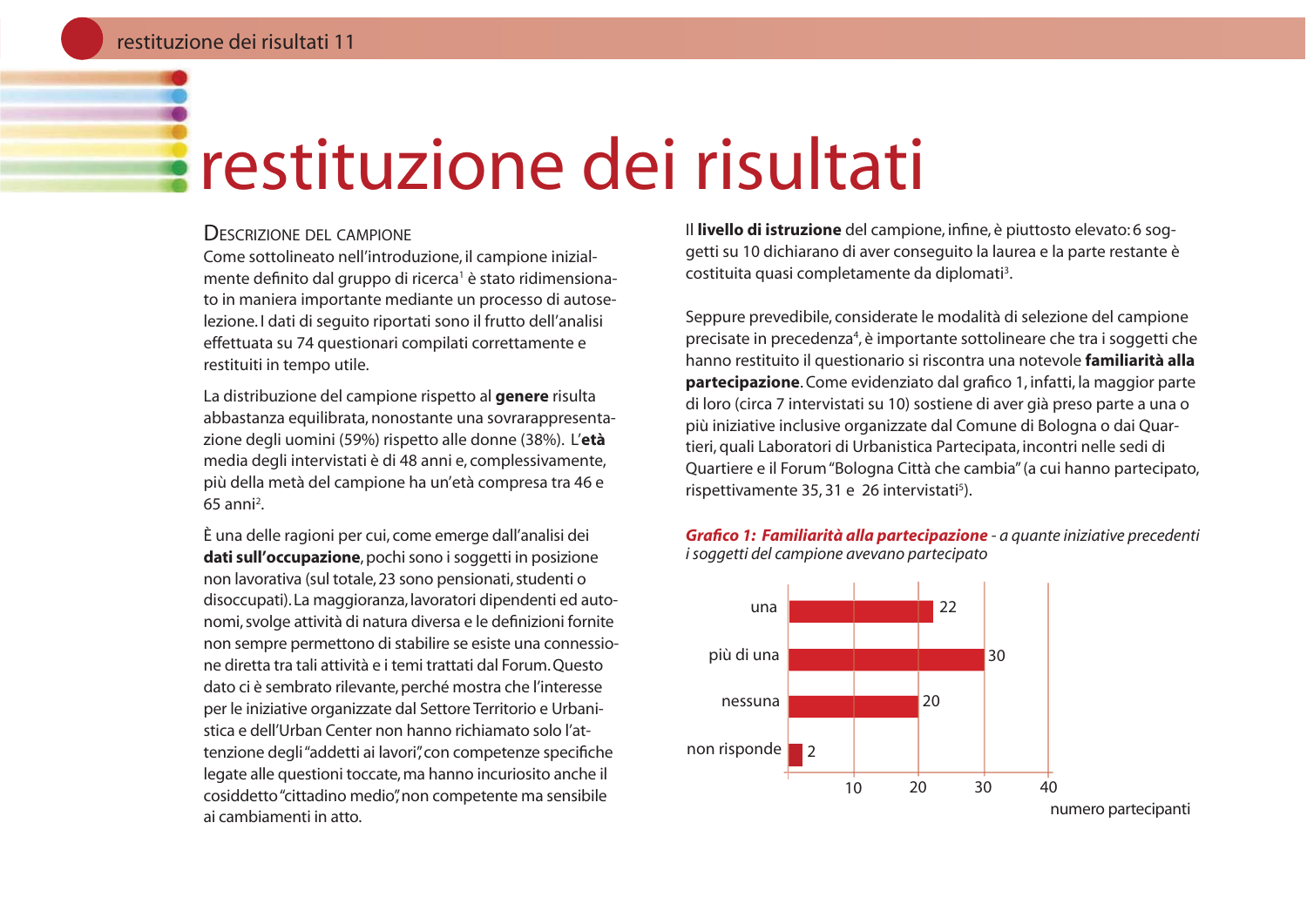### restituzione dei risultati

#### **DESCRIZIONE DEL CAMPIONE**

Come sottolineato nell'introduzione, il campione inizialmente definito dal gruppo di ricerca<sup>1</sup> è stato ridimensionato in maniera importante mediante un processo di autoselezione. I dati di seguito riportati sono il frutto dell'analisi effettuata su 74 questionari compilati correttamente e restituiti in tempo utile.

La distribuzione del campione rispetto al **genere** risulta abbastanza equilibrata, nonostante una sovrarappresentazione degli uomini (59%) rispetto alle donne (38%). L'età media degli intervistati è di 48 anni e, complessivamente, più della metà del campione ha un'età compresa tra 46 e  $65$  anni<sup>2</sup>.

È una delle ragioni per cui, come emerge dall'analisi dei dati sull'occupazione, pochi sono i soggetti in posizione non lavorativa (sul totale, 23 sono pensionati, studenti o disoccupati). La maggioranza, lavoratori dipendenti ed autonomi, svolge attività di natura diversa e le definizioni fornite non sempre permettono di stabilire se esiste una connessione diretta tra tali attività e i temi trattati dal Forum Questo dato ci è sembrato rilevante, perché mostra che l'interesse per le iniziative organizzate dal Settore Territorio e Urbanistica e dell'Urban Center non hanno richiamato solo l'attenzione degli "addetti ai lavori", con competenze specifiche legate alle questioni toccate, ma hanno incuriosito anche il cosiddetto "cittadino medio", non competente ma sensibile ai cambiamenti in atto.

Il livello di istruzione del campione, infine, è piuttosto elevato: 6 soggetti su 10 dichiarano di aver conseguito la laurea e la parte restante è costituita quasi completamente da diplomati<sup>3</sup>.

Seppure prevedibile, considerate le modalità di selezione del campione precisate in precedenza<sup>4</sup>, è importante sottolineare che tra i soggetti che hanno restituito il questionario si riscontra una notevole familiarità alla **partecipazione.** Come evidenziato dal grafico 1, infatti, la maggior parte di loro (circa 7 intervistati su 10) sostiene di aver già preso parte a una o più iniziative inclusive organizzate dal Comune di Bologna o dai Quartieri, quali Laboratori di Urbanistica Partecipata, incontri nelle sedi di Quartiere e il Forum "Bologna Città che cambia" (a cui hanno partecipato, rispettivamente 35, 31 e 26 intervistati<sup>5</sup>).





numero partecipanti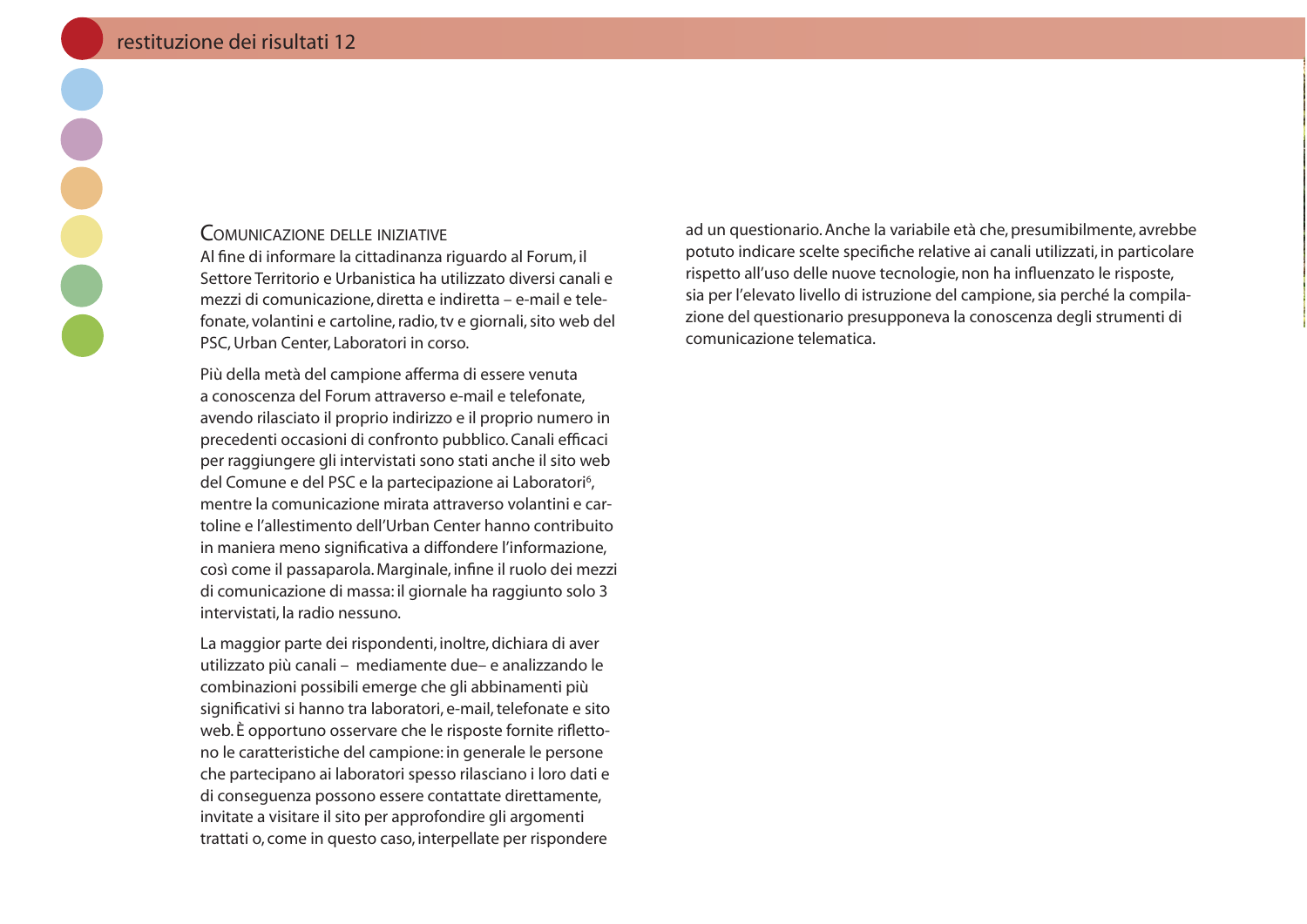#### **COMUNICAZIONE DELLE INIZIATIVE**

Al fine di informare la cittadinanza riguardo al Forum, il Settore Territorio e Urbanistica ha utilizzato diversi canali e mezzi di comunicazione, diretta e indiretta – e-mail e telefonate, volantini e cartoline, radio, tv e giornali, sito web del PSC, Urban Center, Laboratori in corso.

Più della metà del campione afferma di essere venuta a conoscenza del Forum attraverso e-mail e telefonate. avendo rilasciato il proprio indirizzo e il proprio numero in precedenti occasioni di confronto pubblico. Canali efficaci per raggiungere gli intervistati sono stati anche il sito web del Comune e del PSC e la partecipazione ai Laboratori<sup>6</sup>, mentre la comunicazione mirata attraverso volantini e cartoline e l'allestimento dell'Urban Center hanno contribuito in maniera meno significativa a diffondere l'informazione, così come il passaparola. Marginale, infine il ruolo dei mezzi di comunicazione di massa: il giornale ha raggiunto solo 3 intervistati, la radio nessuno.

La maggior parte dei rispondenti, inoltre, dichiara di aver utilizzato più canali - mediamente due- e analizzando le combinazioni possibili emerge che gli abbinamenti più significativi si hanno tra laboratori, e-mail, telefonate e sito web. È opportuno osservare che le risposte fornite riflettono le caratteristiche del campione: in generale le persone che partecipano ai laboratori spesso rilasciano i loro dati e di consequenza possono essere contattate direttamente, invitate a visitare il sito per approfondire gli argomenti trattati o, come in questo caso, interpellate per rispondere ad un questionario. Anche la variabile età che, presumibilmente, avrebbe potuto indicare scelte specifiche relative ai canali utilizzati, in particolare rispetto all'uso delle nuove tecnologie, non ha influenzato le risposte, sia per l'elevato livello di istruzione del campione, sia perché la compilazione del questionario presupponeva la conoscenza degli strumenti di comunicazione telematica.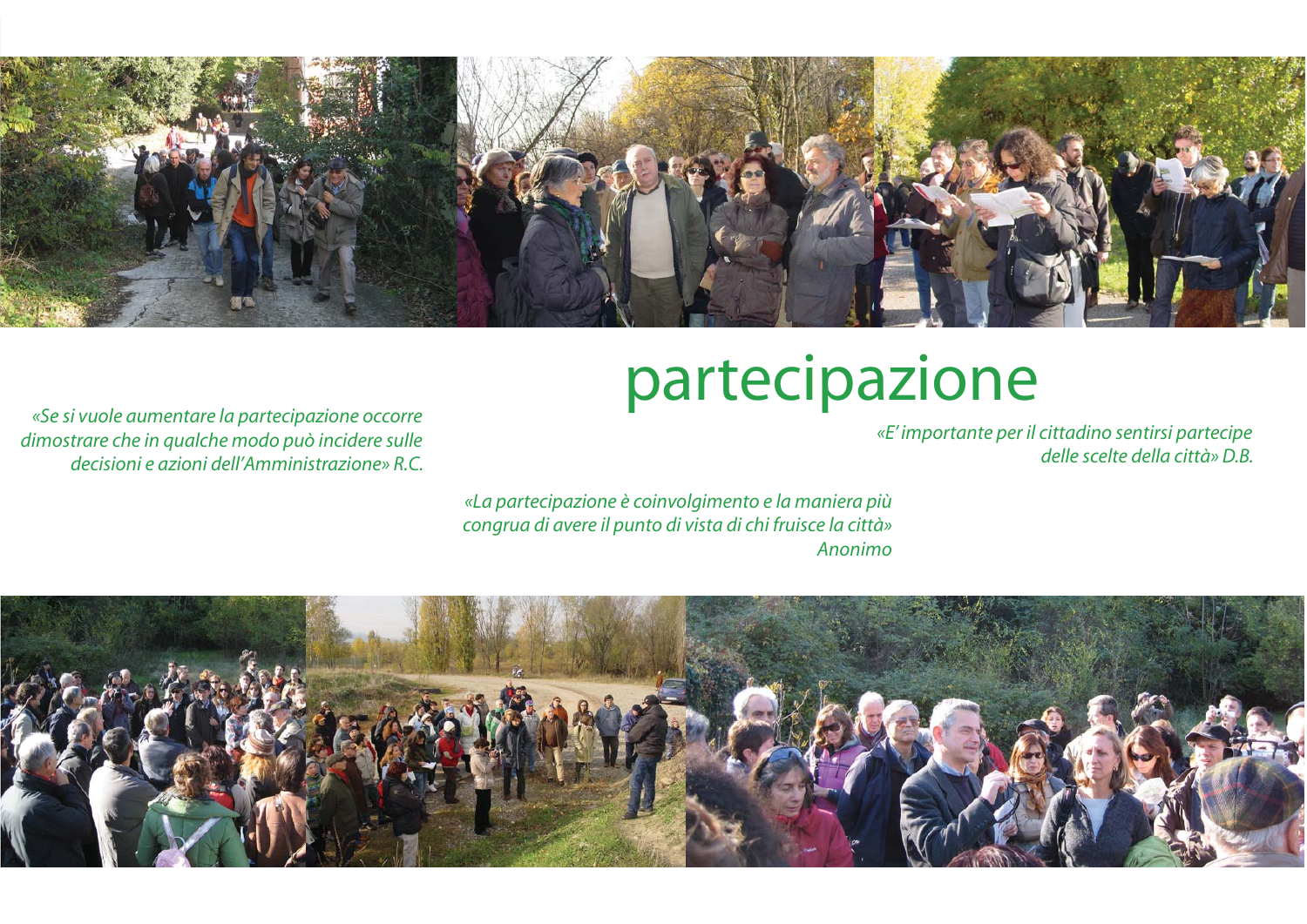

### partecipazione

«Se si vuole aumentare la partecipazione occorre dimostrare che in qualche modo può incidere sulle decisioni e azioni dell'Amministrazione» R.C.

«E' importante per il cittadino sentirsi partecipe delle scelte della città» D.B.

«La partecipazione è coinvolgimento e la maniera più congrua di avere il punto di vista di chi fruisce la città» Anonimo

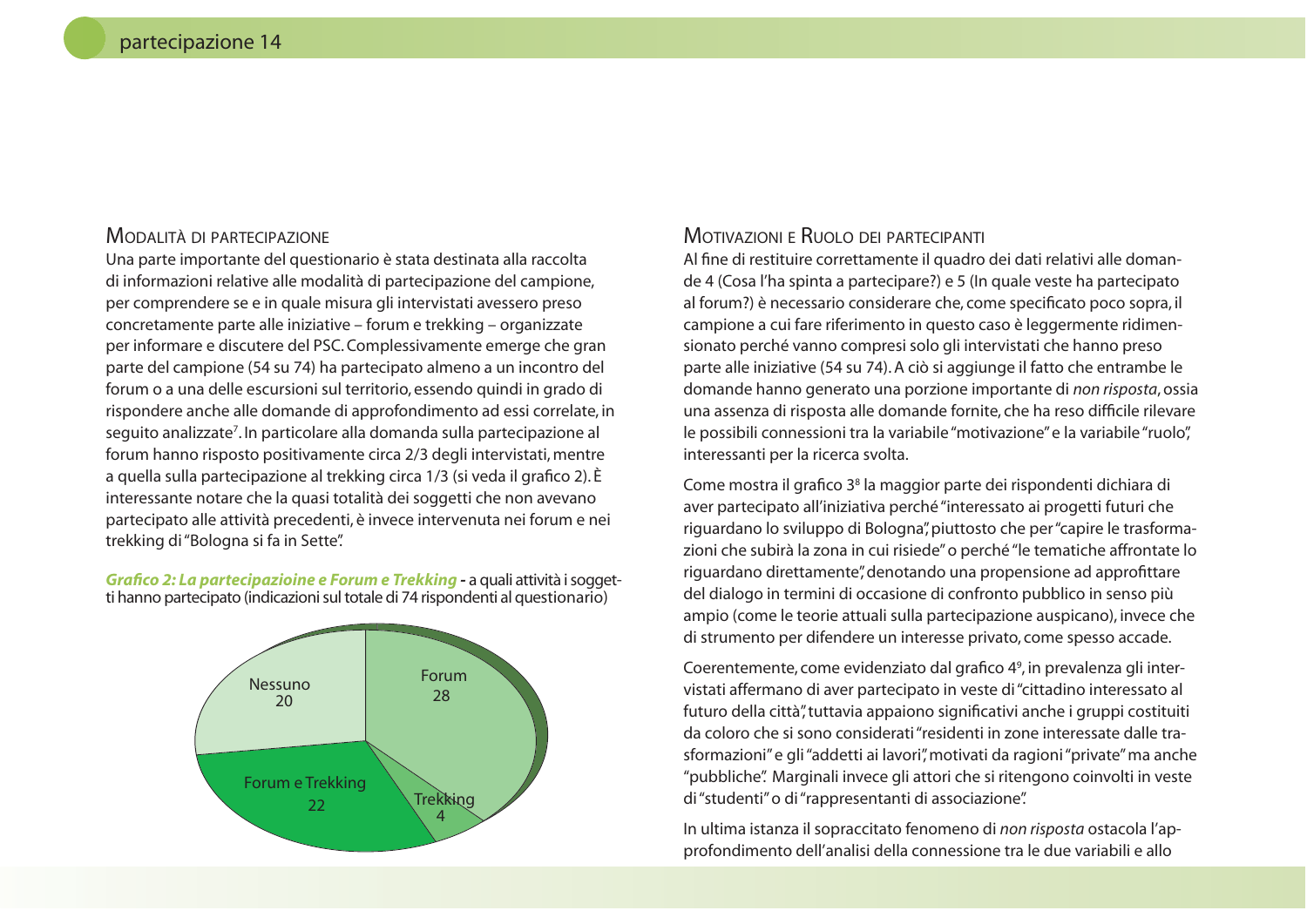#### MODALITÀ DI PARTECIPAZIONE

Una parte importante del questionario è stata destinata alla raccolta di informazioni relative alle modalità di partecipazione del campione, per comprendere se e in quale misura gli intervistati avessero preso concretamente parte alle iniziative – forum e trekking – organizzate per informare e discutere del PSC. Complessivamente emerge che gran parte del campione (54 su 74) ha partecipato almeno a un incontro del forum o a una delle escursioni sul territorio, essendo quindi in grado di rispondere anche alle domande di approfondimento ad essi correlate, in seguito analizzate<sup>7</sup>. In particolare alla domanda sulla partecipazione al forum hanno risposto positivamente circa 2/3 degli intervistati, mentre a quella sulla partecipazione al trekking circa 1/3 (si veda il grafico 2). È interessante notare che la quasi totalità dei soggetti che non avevano partecipato alle attività precedenti, è invece intervenuta nei forum e nei trekking di "Bologna si fa in Sette".

Grafico 2: La partecipazioine e Forum e Trekking - a quali attività i soggetti hanno partecipato (indicazioni sul totale di 74 rispondenti al questionario)



#### MOTIVAZIONI E RUOLO DEI PARTECIPANTI

Al fine di restituire correttamente il quadro dei dati relativi alle domande 4 (Cosa l'ha spinta a partecipare?) e 5 (In quale veste ha partecipato al forum?) è necessario considerare che, come specificato poco sopra, il campione a cui fare riferimento in questo caso è leggermente ridimensionato perché vanno compresi solo gli intervistati che hanno preso parte alle iniziative (54 su 74). A ciò si aggiunge il fatto che entrambe le domande hanno generato una porzione importante di non risposta, ossia una assenza di risposta alle domande fornite, che ha reso difficile rilevare le possibili connessioni tra la variabile "motivazione" e la variabile "ruolo", interessanti per la ricerca svolta.

Come mostra il grafico 3<sup>8</sup> la maggior parte dei rispondenti dichiara di aver partecipato all'iniziativa perché "interessato ai progetti futuri che riguardano lo sviluppo di Bologna", piuttosto che per "capire le trasformazioni che subirà la zona in cui risiede" o perché "le tematiche affrontate lo riguardano direttamente", denotando una propensione ad approfittare del dialogo in termini di occasione di confronto pubblico in senso più ampio (come le teorie attuali sulla partecipazione auspicano), invece che di strumento per difendere un interesse privato, come spesso accade.

Coerentemente, come evidenziato dal grafico 4<sup>9</sup>, in prevalenza gli intervistati affermano di aver partecipato in veste di "cittadino interessato al futuro della città", tuttavia appaiono significativi anche i gruppi costituiti da coloro che si sono considerati "residenti in zone interessate dalle trasformazioni" e gli "addetti ai lavori", motivati da ragioni "private" ma anche "pubbliche". Marginali invece gli attori che si ritengono coinvolti in veste di "studenti" o di "rappresentanti di associazione".

In ultima istanza il sopraccitato fenomeno di non risposta ostacola l'approfondimento dell'analisi della connessione tra le due variabili e allo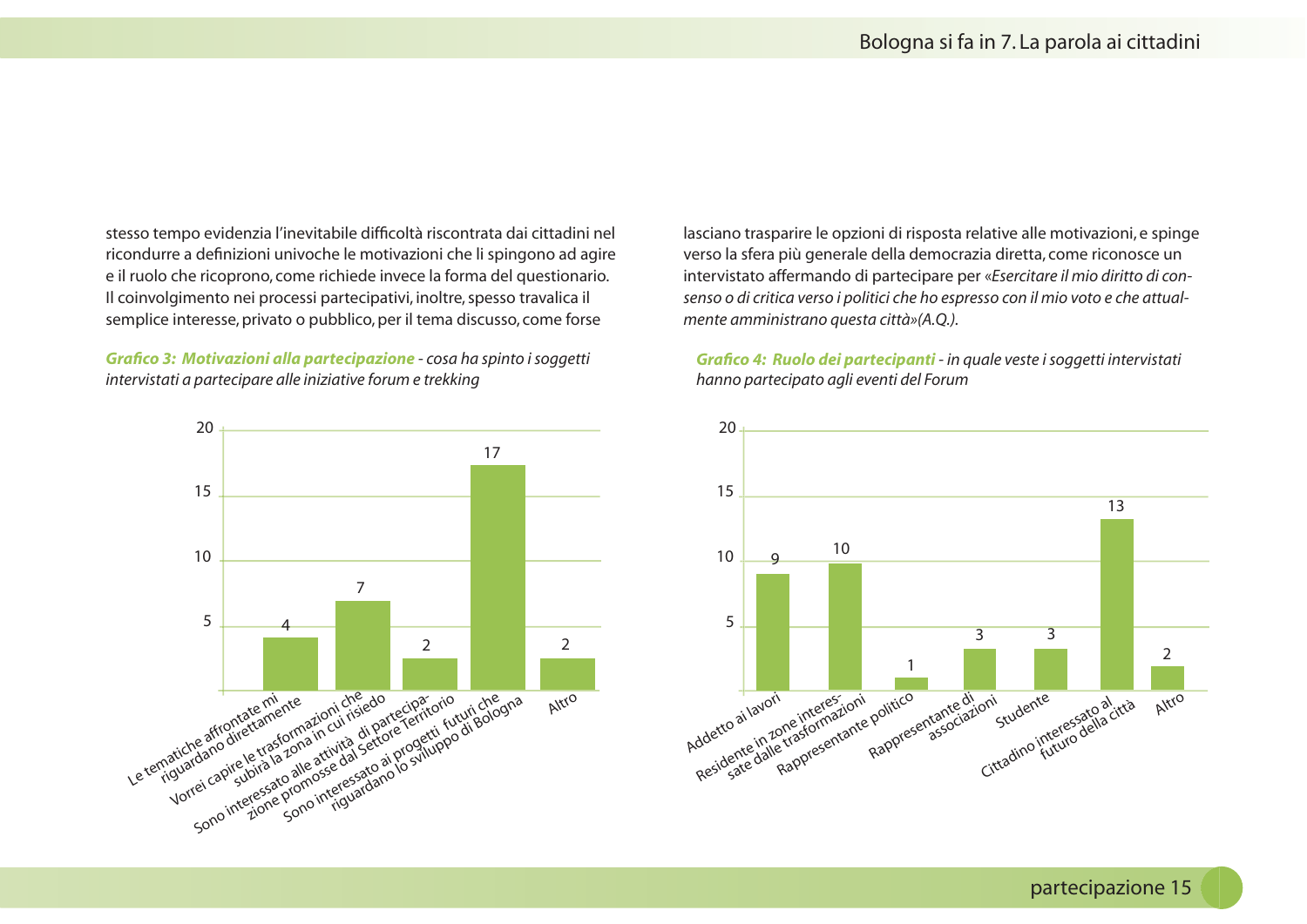stesso tempo evidenzia l'inevitabile difficoltà riscontrata dai cittadini nel ricondurre a definizioni univoche le motivazioni che li spingono ad agire e il ruolo che ricoprono, come richiede invece la forma del questionario. Il coinvolgimento nei processi partecipativi, inoltre, spesso travalica il semplice interesse, privato o pubblico, per il tema discusso, come forse

Grafico 3: Motivazioni alla partecipazione - cosa ha spinto i soggetti intervistati a partecipare alle iniziative forum e trekking



lasciano trasparire le opzioni di risposta relative alle motivazioni, e spinge verso la sfera più generale della democrazia diretta, come riconosce un intervistato affermando di partecipare per «Esercitare il mio diritto di consenso o di critica verso i politici che ho espresso con il mio voto e che attualmente amministrano questa città»(A.Q.).

Grafico 4: Ruolo dei partecipanti - in quale veste i soggetti intervistati hanno partecipato agli eventi del Forum

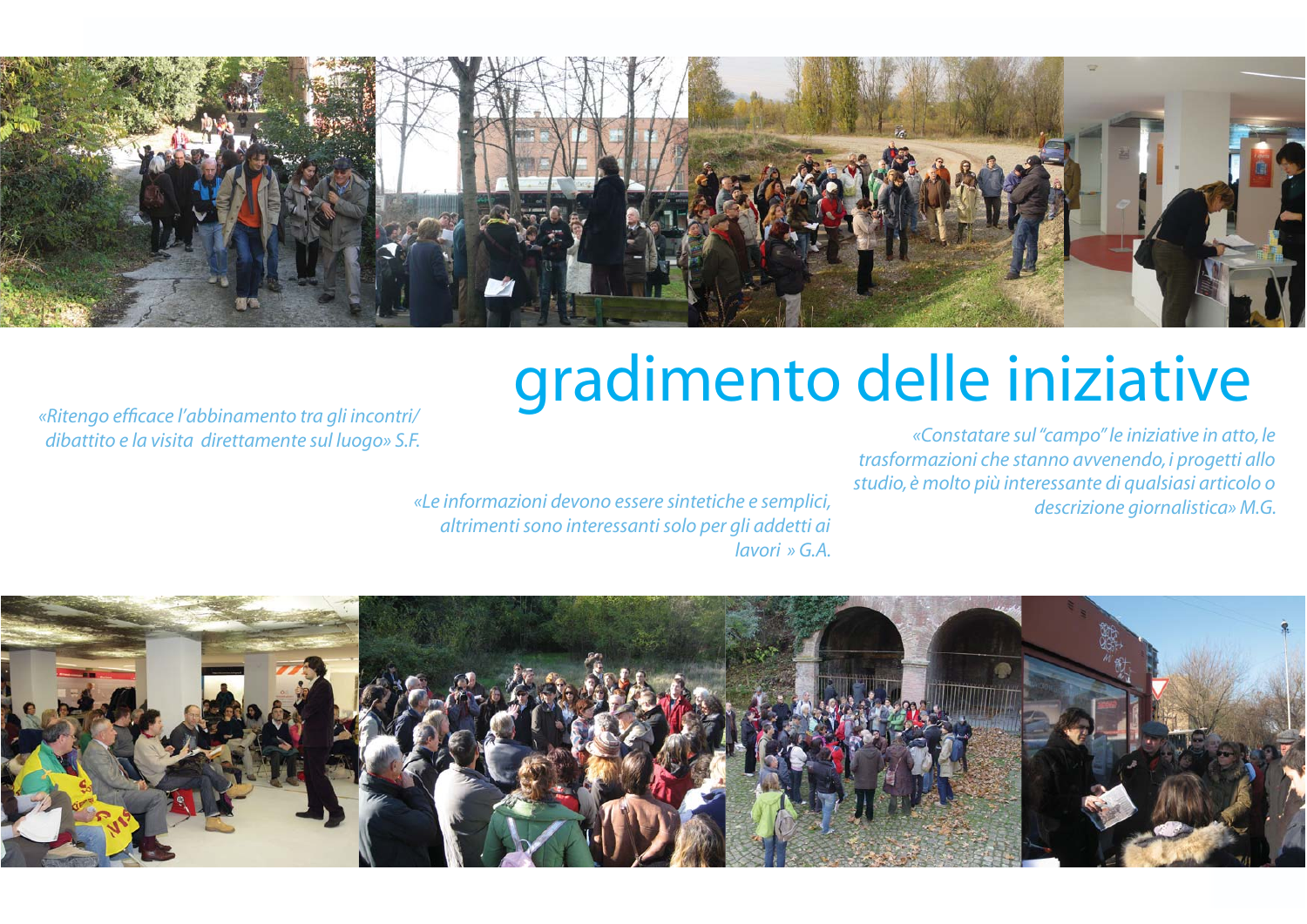

### gradimento delle iniziative

«Ritengo efficace l'abbinamento tra gli incontri/ dibattito e la visita direttamente sul luogo» S.F.

«Constatare sul "campo" le iniziative in atto, le trasformazioni che stanno avvenendo, i progetti allo studio, è molto più interessante di qualsiasi articolo o descrizione giornalistica» M.G.

«Le informazioni devono essere sintetiche e semplici, altrimenti sono interessanti solo per gli addetti ai  $lavori \times G.A.$ 

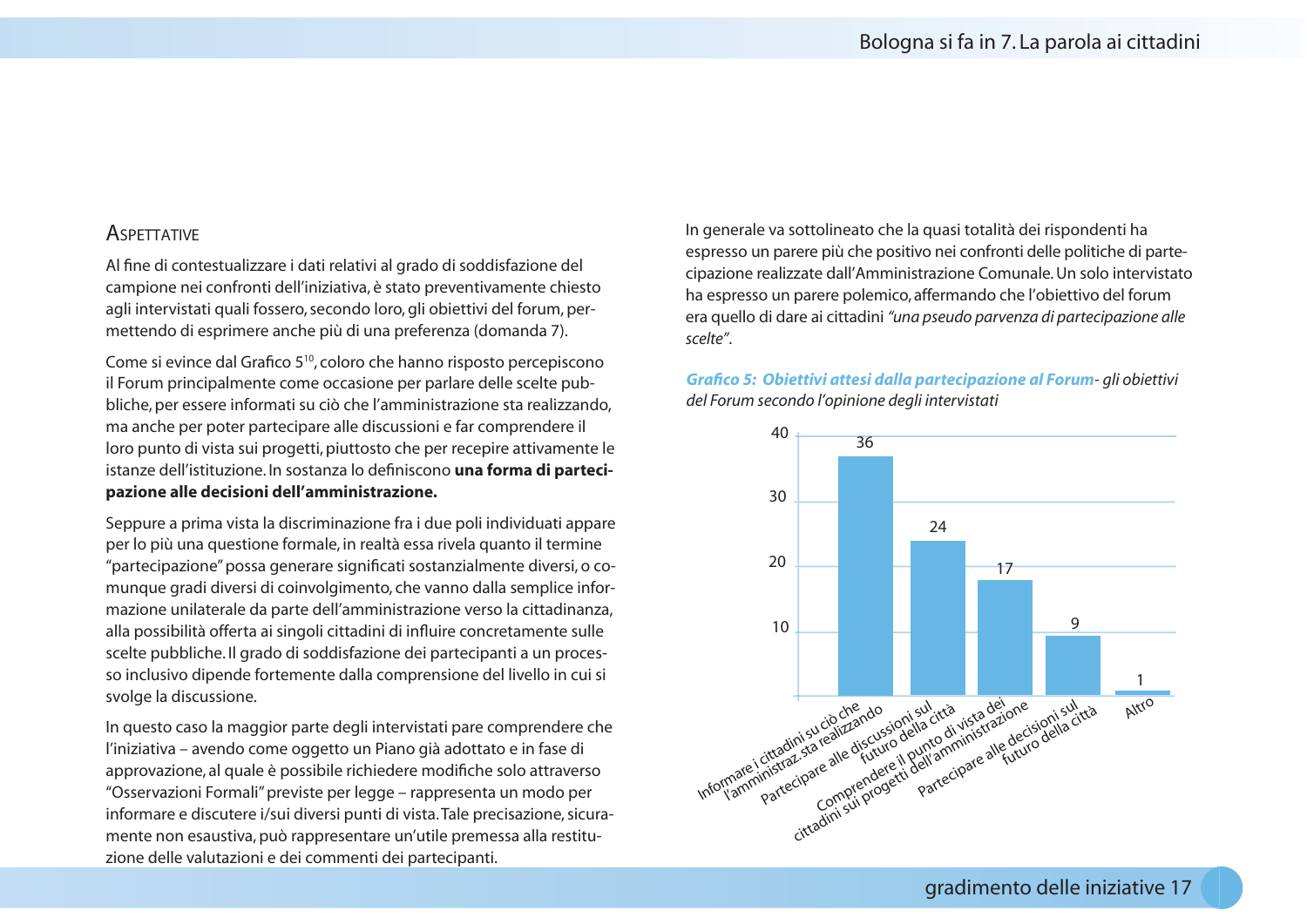#### **ASPETTATIVE**

Al fine di contestualizzare i dati relativi al grado di soddisfazione del campione nei confronti dell'iniziativa, è stato preventivamente chiesto agli intervistati quali fossero, secondo loro, gli obiettivi del forum, permettendo di esprimere anche più di una preferenza (domanda 7).

Come si evince dal Grafico 5<sup>10</sup>, coloro che hanno risposto percepiscono il Forum principalmente come occasione per parlare delle scelte pubbliche, per essere informati su ciò che l'amministrazione sta realizzando, ma anche per poter partecipare alle discussioni e far comprendere il loro punto di vista sui progetti, piuttosto che per recepire attivamente le istanze dell'istituzione. In sostanza lo definiscono una forma di partecipazione alle decisioni dell'amministrazione.

Seppure a prima vista la discriminazione fra i due poli individuati appare per lo più una questione formale, in realtà essa rivela quanto il termine "partecipazione" possa generare significati sostanzialmente diversi, o comunque gradi diversi di coinvolgimento, che vanno dalla semplice informazione unilaterale da parte dell'amministrazione verso la cittadinanza, alla possibilità offerta ai singoli cittadini di influire concretamente sulle scelte pubbliche. Il grado di soddisfazione dei partecipanti a un processo inclusivo dipende fortemente dalla comprensione del livello in cui si svolge la discussione.

In questo caso la maggior parte degli intervistati pare comprendere che l'iniziativa – avendo come oggetto un Piano già adottato e in fase di approvazione, al quale è possibile richiedere modifiche solo attraverso "Osservazioni Formali" previste per legge – rappresenta un modo per informare e discutere i/sui diversi punti di vista. Tale precisazione, sicuramente non esaustiva, può rappresentare un'utile premessa alla restituzione delle valutazioni e dei commenti dei partecipanti.

In generale va sottolineato che la quasi totalità dei rispondenti ha espresso un parere più che positivo nei confronti delle politiche di partecipazione realizzate dall'Amministrazione Comunale. Un solo intervistato ha espresso un parere polemico, affermando che l'obiettivo del forum era quello di dare ai cittadini "una pseudo parvenza di partecipazione alle scelte"

Grafico 5: Obiettivi attesi dalla partecipazione al Forum- gli obiettivi del Forum secondo l'opinione degli intervistati

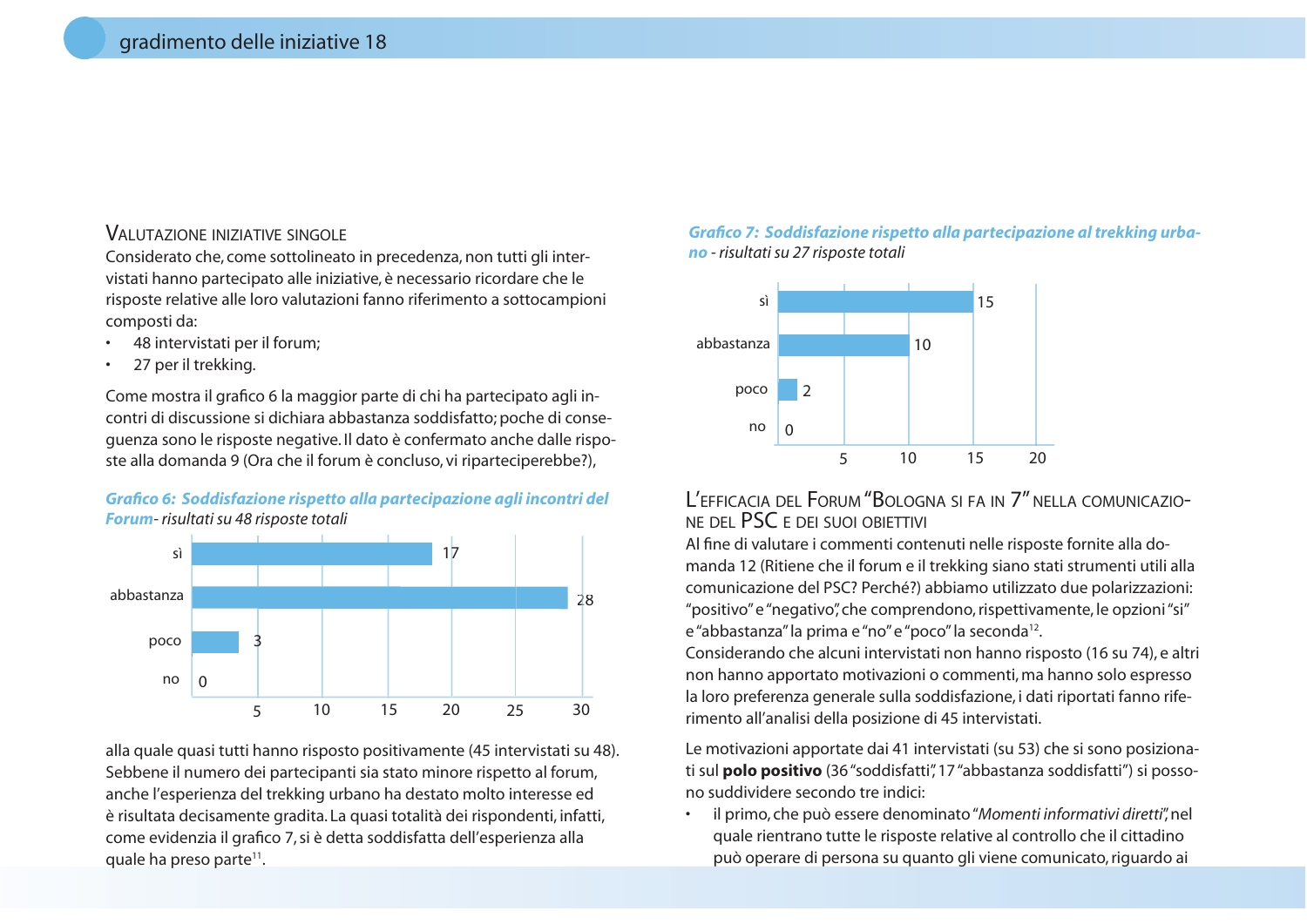#### **VALUTAZIONE INIZIATIVE SINGOLE**

Considerato che, come sottolineato in precedenza, non tutti gli intervistati hanno partecipato alle iniziative, è necessario ricordare che le risposte relative alle loro valutazioni fanno riferimento a sottocampioni composti da:

- 48 intervistati per il forum;
- 27 per il trekking.

Come mostra il grafico 6 la maggior parte di chi ha partecipato agli incontri di discussione si dichiara abbastanza soddisfatto; poche di consequenza sono le risposte negative. Il dato è confermato anche dalle risposte alla domanda 9 (Ora che il forum è concluso, vi riparteciperebbe?),





alla quale quasi tutti hanno risposto positivamente (45 intervistati su 48). Sebbene il numero dei partecipanti sia stato minore rispetto al forum, anche l'esperienza del trekking urbano ha destato molto interesse ed è risultata decisamente gradita. La quasi totalità dei rispondenti, infatti, come evidenzia il grafico 7, si è detta soddisfatta dell'esperienza alla quale ha preso parte<sup>11</sup>.

#### Grafico 7: Soddisfazione rispetto alla partecipazione al trekking urbano - risultati su 27 risposte totali



#### L'EFFICACIA DEL FORUM "BOLOGNA SI FA IN 7" NELLA COMUNICAZIO-NE DEL PSC E DEI SUOI OBIETTIVI

Al fine di valutare i commenti contenuti nelle risposte fornite alla domanda 12 (Ritiene che il forum e il trekking siano stati strumenti utili alla comunicazione del PSC? Perché?) abbiamo utilizzato due polarizzazioni: "positivo" e "negativo", che comprendono, rispettivamente, le opzioni "si" e "abbastanza" la prima e "no" e "poco" la seconda<sup>12</sup>.

Considerando che alcuni intervistati non hanno risposto (16 su 74), e altri non hanno apportato motivazioni o commenti, ma hanno solo espresso la loro preferenza generale sulla soddisfazione, i dati riportati fanno riferimento all'analisi della posizione di 45 intervistati.

Le motivazioni apportate dai 41 intervistati (su 53) che si sono posizionati sul **polo positivo** (36 "soddisfatti", 17 "abbastanza soddisfatti") si possono suddividere secondo tre indici:

il primo, che può essere denominato "Momenti informativi diretti", nel quale rientrano tutte le risposte relative al controllo che il cittadino può operare di persona su quanto gli viene comunicato, riguardo ai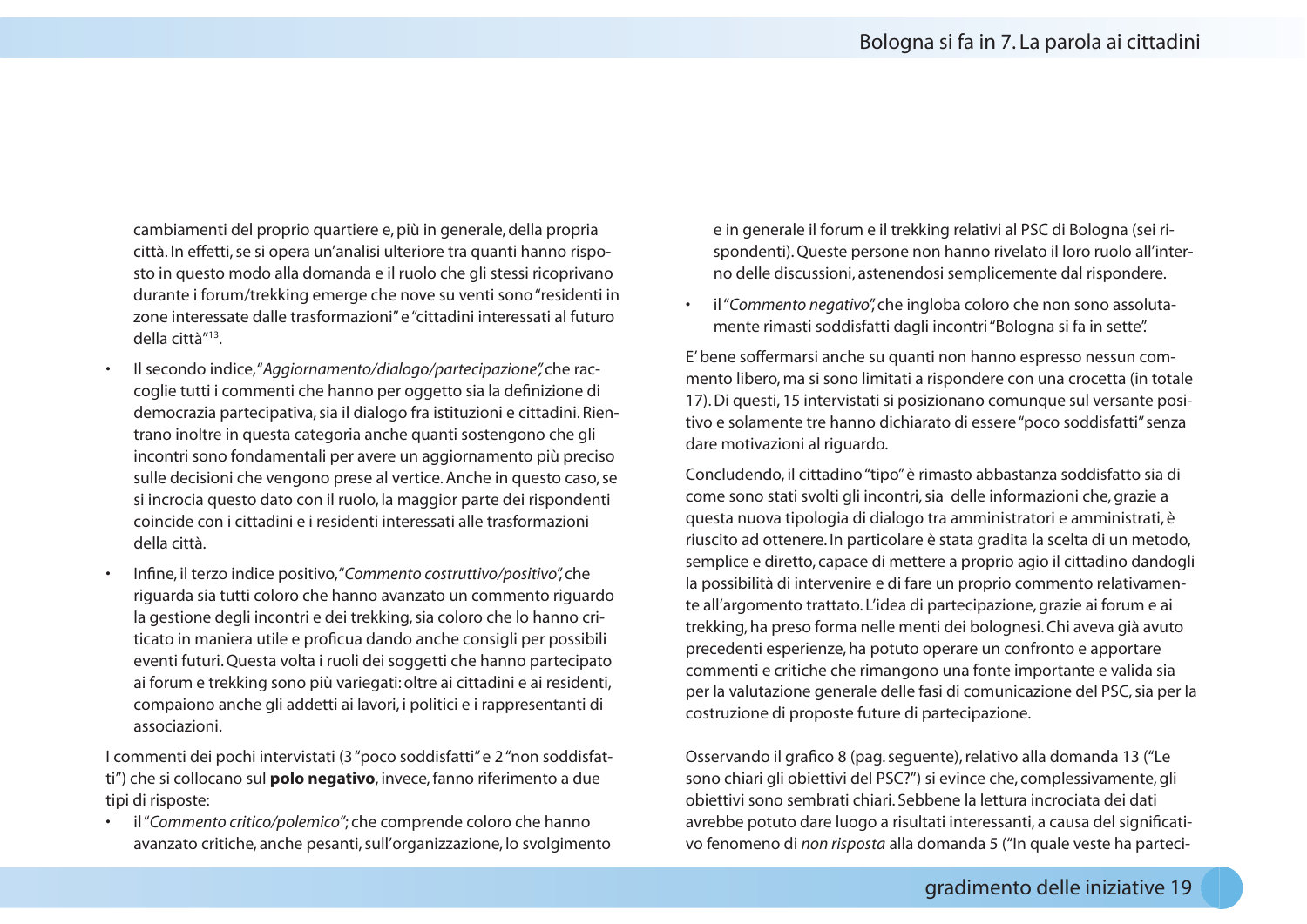cambiamenti del proprio quartiere e, più in generale, della propria città. In effetti, se si opera un'analisi ulteriore tra quanti hanno risposto in questo modo alla domanda e il ruolo che gli stessi ricoprivano durante i forum/trekking emerge che nove su venti sono "residenti in zone interessate dalle trasformazioni" e "cittadini interessati al futuro della città"<sup>13</sup>

- Il secondo indice, "Aggiornamento/dialogo/partecipazione", che raccoglie tutti i commenti che hanno per oggetto sia la definizione di democrazia partecipativa, sia il dialogo fra istituzioni e cittadini. Rientrano inoltre in questa categoria anche quanti sostengono che gli incontri sono fondamentali per avere un aggiornamento più preciso sulle decisioni che vengono prese al vertice. Anche in questo caso, se si incrocia questo dato con il ruolo, la maggior parte dei rispondenti coincide con i cittadini e i residenti interessati alle trasformazioni della città.
- Infine, il terzo indice positivo, "Commento costruttivo/positivo", che riguarda sia tutti coloro che hanno avanzato un commento riguardo la gestione degli incontri e dei trekking, sia coloro che lo hanno criticato in maniera utile e proficua dando anche consigli per possibili eventi futuri. Questa volta i ruoli dei soggetti che hanno partecipato ai forum e trekking sono più variegati: oltre ai cittadini e ai residenti, compaiono anche gli addetti ai lavori, i politici e i rappresentanti di associazioni

I commenti dei pochi intervistati (3 "poco soddisfatti" e 2 "non soddisfatti") che si collocano sul **polo negativo**, invece, fanno riferimento a due tipi di risposte:

il "Commento critico/polemico"; che comprende coloro che hanno avanzato critiche, anche pesanti, sull'organizzazione, lo svolgimento e in generale il forum e il trekking relativi al PSC di Bologna (sei rispondenti). Queste persone non hanno rivelato il loro ruolo all'interno delle discussioni, astenendosi semplicemente dal rispondere.

il "Commento negativo", che ingloba coloro che non sono assolutamente rimasti soddisfatti dagli incontri "Bologna si fa in sette".

E' bene soffermarsi anche su quanti non hanno espresso nessun commento libero, ma si sono limitati a rispondere con una crocetta (in totale 17). Di questi, 15 intervistati si posizionano comunque sul versante positivo e solamente tre hanno dichiarato di essere "poco soddisfatti" senza dare motivazioni al riguardo.

Concludendo, il cittadino "tipo" è rimasto abbastanza soddisfatto sia di come sono stati svolti gli incontri, sia delle informazioni che, grazie a questa nuova tipologia di dialogo tra amministratori e amministrati, è riuscito ad ottenere. In particolare è stata gradita la scelta di un metodo, semplice e diretto, capace di mettere a proprio agio il cittadino dandogli la possibilità di intervenire e di fare un proprio commento relativamente all'argomento trattato. L'idea di partecipazione, grazie ai forum e ai trekking, ha preso forma nelle menti dei bolognesi. Chi aveva già avuto precedenti esperienze, ha potuto operare un confronto e apportare commenti e critiche che rimangono una fonte importante e valida sia per la valutazione generale delle fasi di comunicazione del PSC, sia per la costruzione di proposte future di partecipazione.

Osservando il grafico 8 (pag. seguente), relativo alla domanda 13 ("Le sono chiari gli obiettivi del PSC?") si evince che, complessivamente, gli obiettivi sono sembrati chiari. Sebbene la lettura incrociata dei dati avrebbe potuto dare luogo a risultati interessanti, a causa del significativo fenomeno di non risposta alla domanda 5 ("In quale veste ha parteci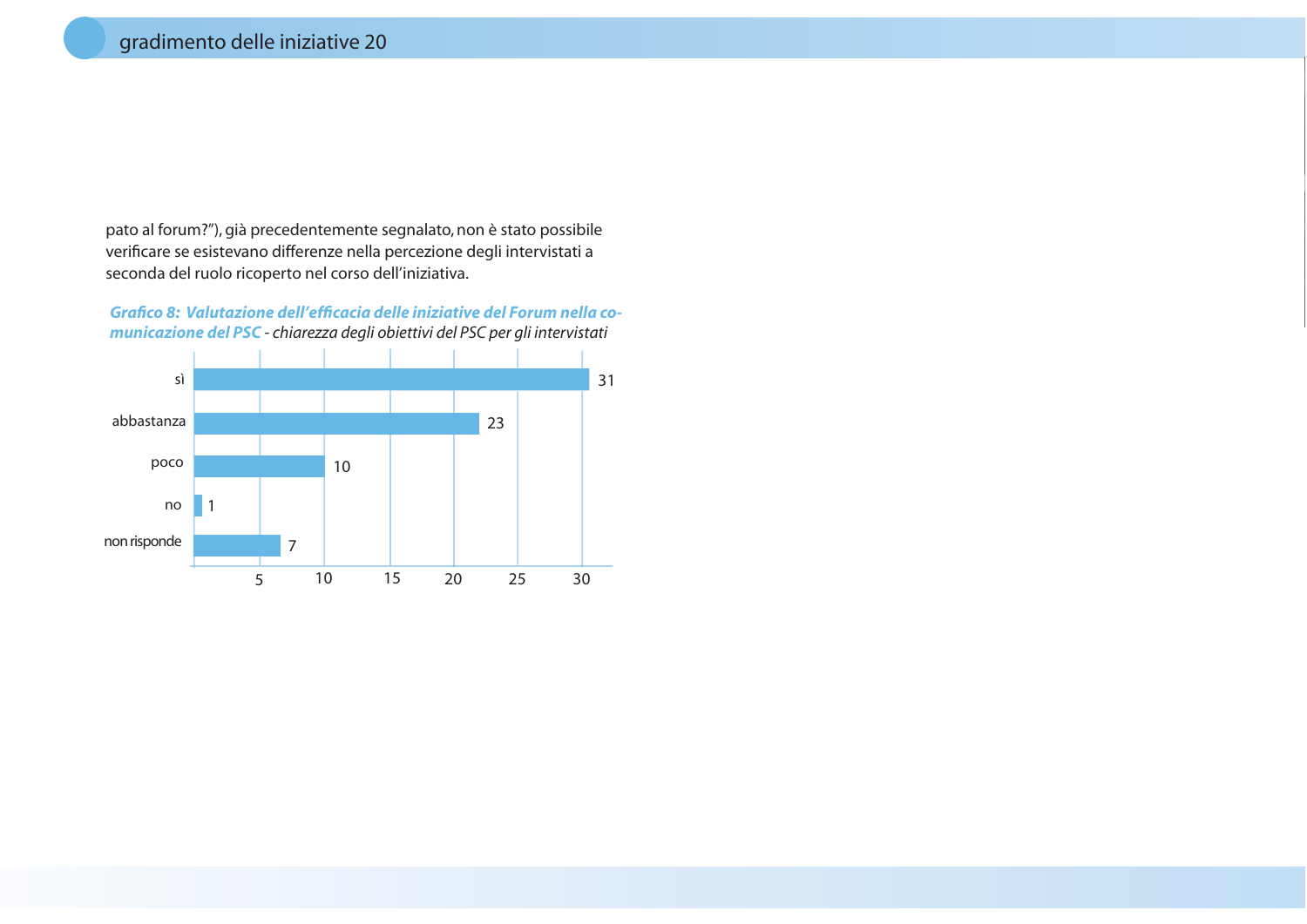pato al forum?"), già precedentemente segnalato, non è stato possibile verificare se esistevano differenze nella percezione degli intervistati a seconda del ruolo ricoperto nel corso dell'iniziativa.

Grafico 8: Valutazione dell'efficacia delle iniziative del Forum nella comunicazione del PSC - chiarezza degli obiettivi del PSC per gli intervistati

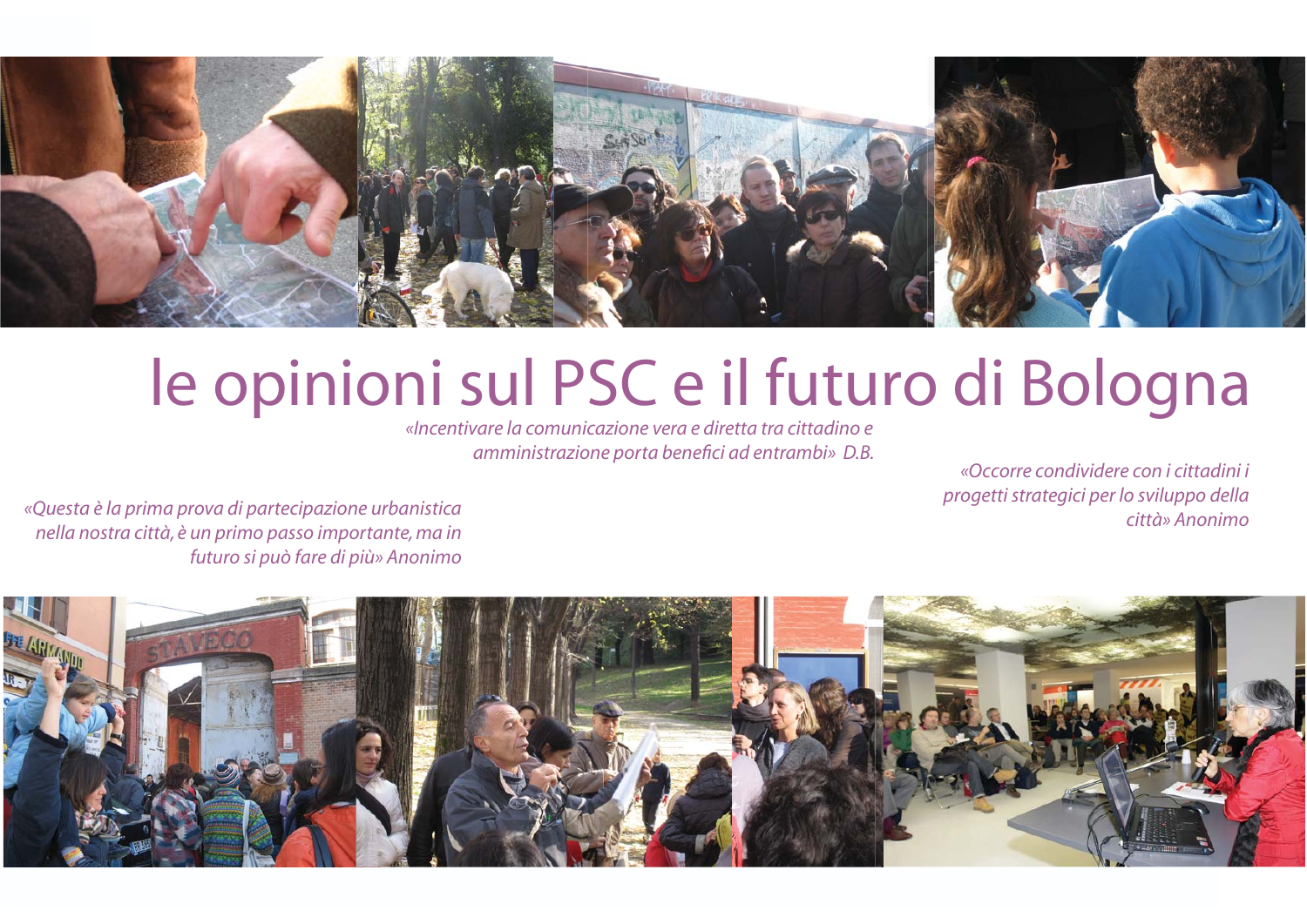

### le opinioni sul PSC e il futuro di Bologna

«Incentivare la comunicazione vera e diretta tra cittadino e amministrazione porta benefici ad entrambi» D.B.

«Occorre condividere con i cittadini i progetti strategici per lo sviluppo della  $c$ ittà» Anonimo

«Questa è la prima prova di partecipazione urbanistica nella nostra città, è un primo passo importante, ma in futuro si può fare di più» Anonimo

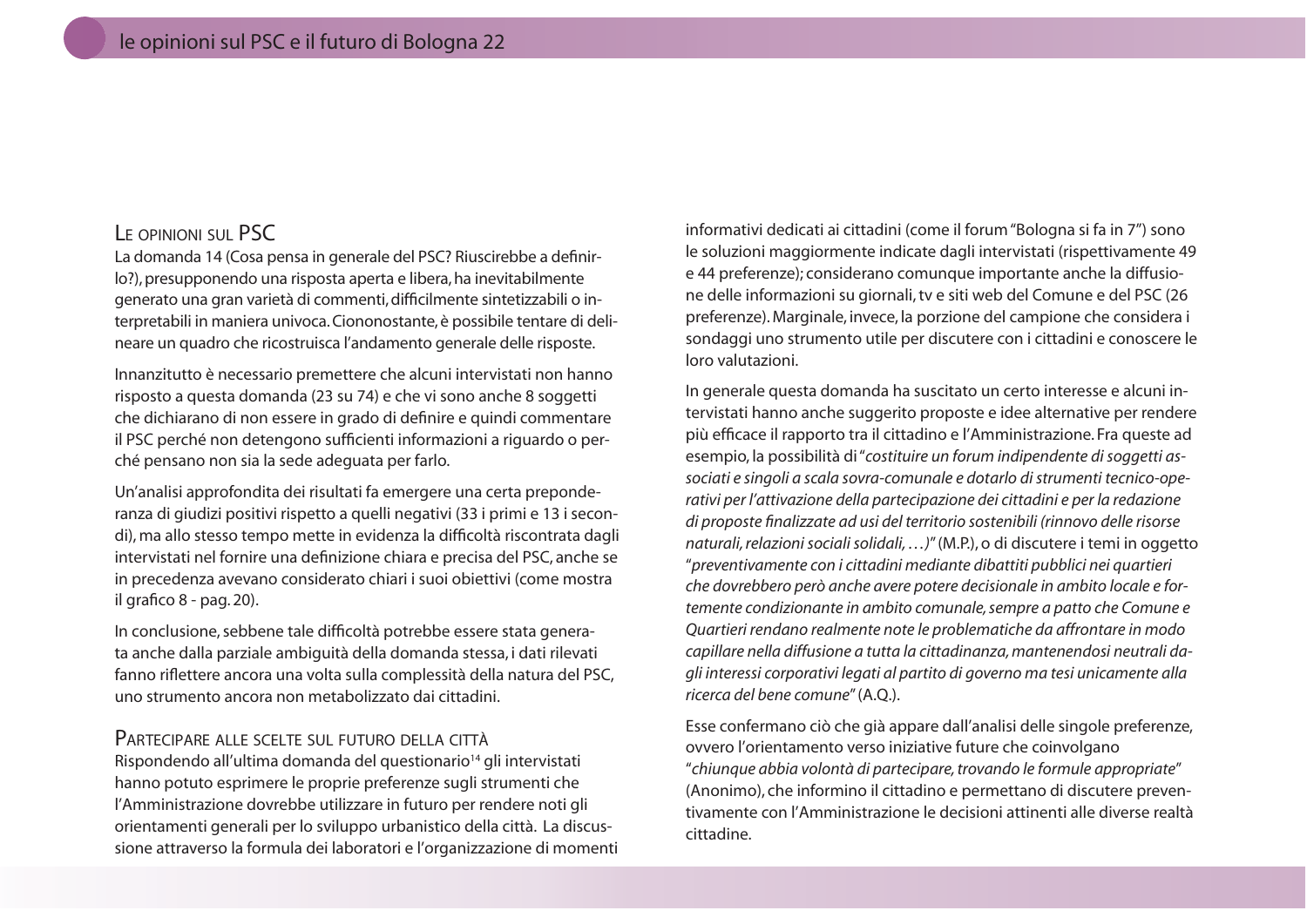#### LE OPINIONI SUL PSC

La domanda 14 (Cosa pensa in generale del PSC? Riuscirebbe a definirlo?), presupponendo una risposta aperta e libera, ha inevitabilmente generato una gran varietà di commenti, difficilmente sintetizzabili o interpretabili in maniera univoca. Ciononostante, è possibile tentare di delineare un quadro che ricostruisca l'andamento generale delle risposte.

Innanzitutto è necessario premettere che alcuni intervistati non hanno risposto a questa domanda (23 su 74) e che vi sono anche 8 soggetti che dichiarano di non essere in grado di definire e quindi commentare il PSC perché non detengono sufficienti informazioni a riguardo o perché pensano non sia la sede adequata per farlo.

Un'analisi approfondita dei risultati fa emergere una certa preponderanza di giudizi positivi rispetto a quelli negativi (33 i primi e 13 i secondi), ma allo stesso tempo mette in evidenza la difficoltà riscontrata dagli intervistati nel fornire una definizione chiara e precisa del PSC, anche se in precedenza avevano considerato chiari i suoi obiettivi (come mostra il grafico 8 - pag. 20).

In conclusione, sebbene tale difficoltà potrebbe essere stata generata anche dalla parziale ambiguità della domanda stessa, i dati rilevati fanno riflettere ancora una volta sulla complessità della natura del PSC, uno strumento ancora non metabolizzato dai cittadini.

#### PARTECIPARE ALLE SCELTE SUL FUTURO DELLA CITTÀ

Rispondendo all'ultima domanda del questionario<sup>14</sup> gli intervistati hanno potuto esprimere le proprie preferenze sugli strumenti che l'Amministrazione dovrebbe utilizzare in futuro per rendere noti gli orientamenti generali per lo sviluppo urbanistico della città. La discussione attraverso la formula dei laboratori e l'organizzazione di momenti informativi dedicati ai cittadini (come il forum "Bologna si fa in 7") sono le soluzioni maggiormente indicate dagli intervistati (rispettivamente 49 e 44 preferenze); considerano comunque importante anche la diffusione delle informazioni su giornali, tv e siti web del Comune e del PSC (26 preferenze). Marginale, invece, la porzione del campione che considera i sondaggi uno strumento utile per discutere con i cittadini e conoscere le loro valutazioni.

In generale questa domanda ha suscitato un certo interesse e alcuni intervistati hanno anche suggerito proposte e idee alternative per rendere più efficace il rapporto tra il cittadino e l'Amministrazione. Fra queste ad esempio, la possibilità di "costituire un forum indipendente di soggetti associati e singoli a scala sovra-comunale e dotarlo di strumenti tecnico-operativi per l'attivazione della partecipazione dei cittadini e per la redazione di proposte finalizzate ad usi del territorio sostenibili (rinnovo delle risorse naturali, relazioni sociali solidali, ...)" (M.P.), o di discutere i temi in oggetto "preventivamente con i cittadini mediante dibattiti pubblici nei quartieri che dovrebbero però anche avere potere decisionale in ambito locale e fortemente condizionante in ambito comunale, sempre a patto che Comune e Ouartieri rendano realmente note le problematiche da affrontare in modo capillare nella diffusione a tutta la cittadinanza, mantenendosi neutrali dagli interessi corporativi legati al partito di governo ma tesi unicamente alla ricerca del bene comune" (A.O.).

Esse confermano ciò che già appare dall'analisi delle singole preferenze, ovvero l'orientamento verso iniziative future che coinvolgano "chiunque abbia volontà di partecipare, trovando le formule appropriate" (Anonimo), che informino il cittadino e permettano di discutere preventivamente con l'Amministrazione le decisioni attinenti alle diverse realtà cittadine.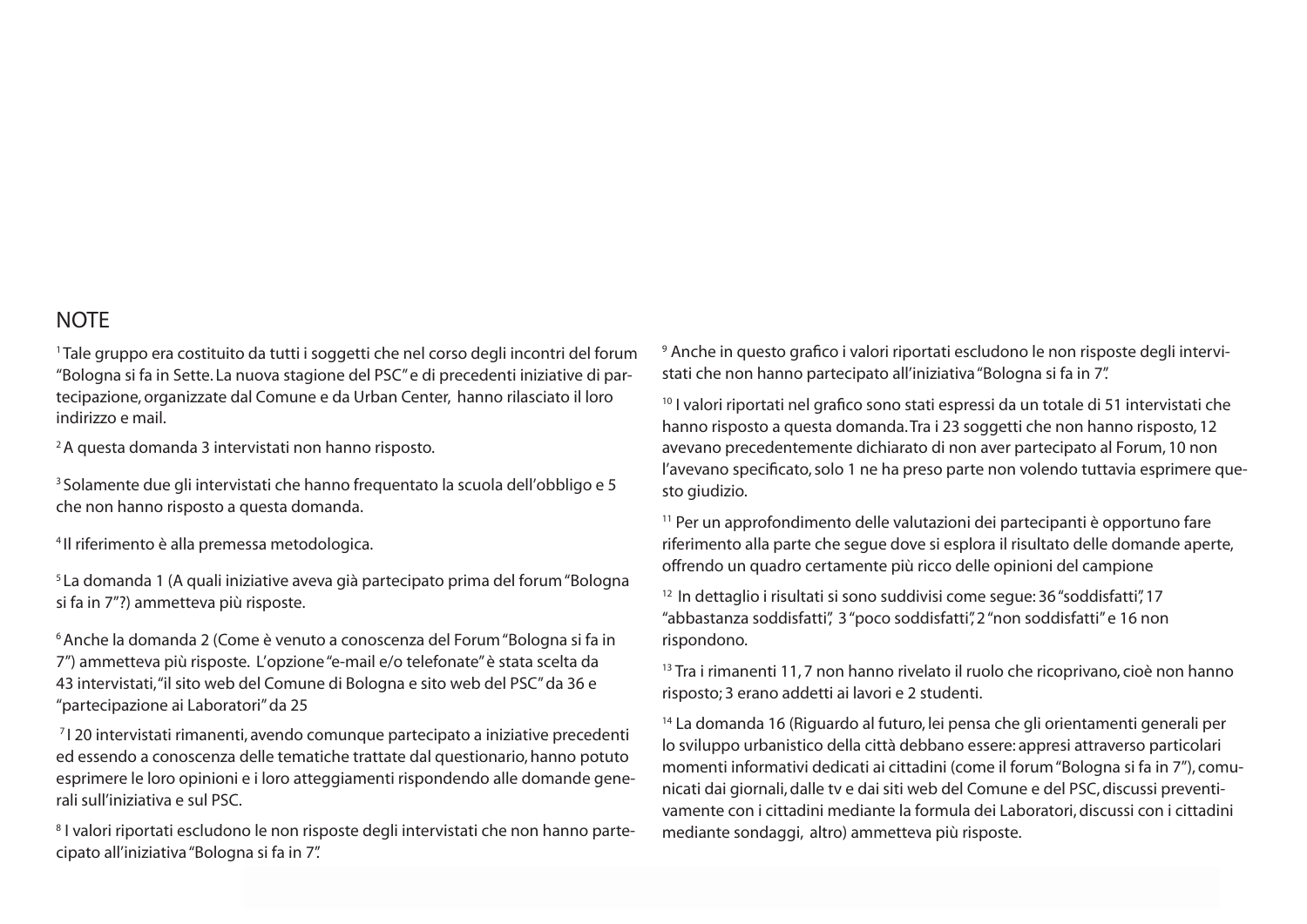#### **NOTE**

<sup>1</sup>Tale gruppo era costituito da tutti i soggetti che nel corso degli incontri del forum "Bologna și fa in Sette. La nuova stagione del PSC" e di precedenti iniziative di partecipazione, organizzate dal Comune e da Urban Center, hanno rilasciato il loro indirizzo e mail.

<sup>2</sup>A questa domanda 3 intervistati non hanno risposto.

<sup>3</sup> Solamente due gli intervistati che hanno frequentato la scuola dell'obbligo e 5 che non hanno risposto a questa domanda.

<sup>4</sup>Il riferimento è alla premessa metodologica.

<sup>5</sup> La domanda 1 (A quali iniziative aveva già partecipato prima del forum "Bologna" si fa in 7"?) ammetteva più risposte.

<sup>6</sup> Anche la domanda 2 (Come è venuto a conoscenza del Forum "Bologna si fa in 7") ammetteva più risposte. L'opzione "e-mail e/o telefonate" è stata scelta da 43 intervistati, "il sito web del Comune di Bologna e sito web del PSC" da 36 e "partecipazione ai Laboratori" da 25

<sup>7</sup> | 20 intervistati rimanenti, avendo comunque partecipato a iniziative precedenti ed essendo a conoscenza delle tematiche trattate dal questionario, hanno potuto esprimere le loro opinioni e i loro atteggiamenti rispondendo alle domande generali sull'iniziativa e sul PSC.

<sup>8</sup> I valori riportati escludono le non risposte degli intervistati che non hanno partecipato all'iniziativa "Bologna si fa in 7".

<sup>9</sup> Anche in questo grafico i valori riportati escludono le non risposte degli intervistati che non hanno partecipato all'iniziativa "Bologna si fa in 7".

<sup>10</sup> I valori riportati nel grafico sono stati espressi da un totale di 51 intervistati che hanno risposto a questa domanda. Tra i 23 soggetti che non hanno risposto, 12 avevano precedentemente dichiarato di non aver partecipato al Forum, 10 non l'avevano specificato, solo 1 ne ha preso parte non volendo tuttavia esprimere questo giudizio.

<sup>11</sup> Per un approfondimento delle valutazioni dei partecipanti è opportuno fare riferimento alla parte che segue dove si esplora il risultato delle domande aperte, offrendo un quadro certamente più ricco delle opinioni del campione

<sup>12</sup> In dettaglio i risultati si sono suddivisi come seque: 36 "soddisfatti", 17 "abbastanza soddisfatti", 3 "poco soddisfatti", 2 "non soddisfatti" e 16 non rispondono.

<sup>13</sup> Tra i rimanenti 11,7 non hanno rivelato il ruolo che ricoprivano, cioè non hanno risposto; 3 erano addetti ai lavori e 2 studenti.

<sup>14</sup> La domanda 16 (Riguardo al futuro, lei pensa che gli orientamenti generali per lo sviluppo urbanistico della città debbano essere: appresi attraverso particolari momenti informativi dedicati ai cittadini (come il forum "Bologna si fa in 7"), comunicati dai giornali, dalle tv e dai siti web del Comune e del PSC, discussi preventivamente con i cittadini mediante la formula dei Laboratori, discussi con i cittadini mediante sondaggi, altro) ammetteva più risposte.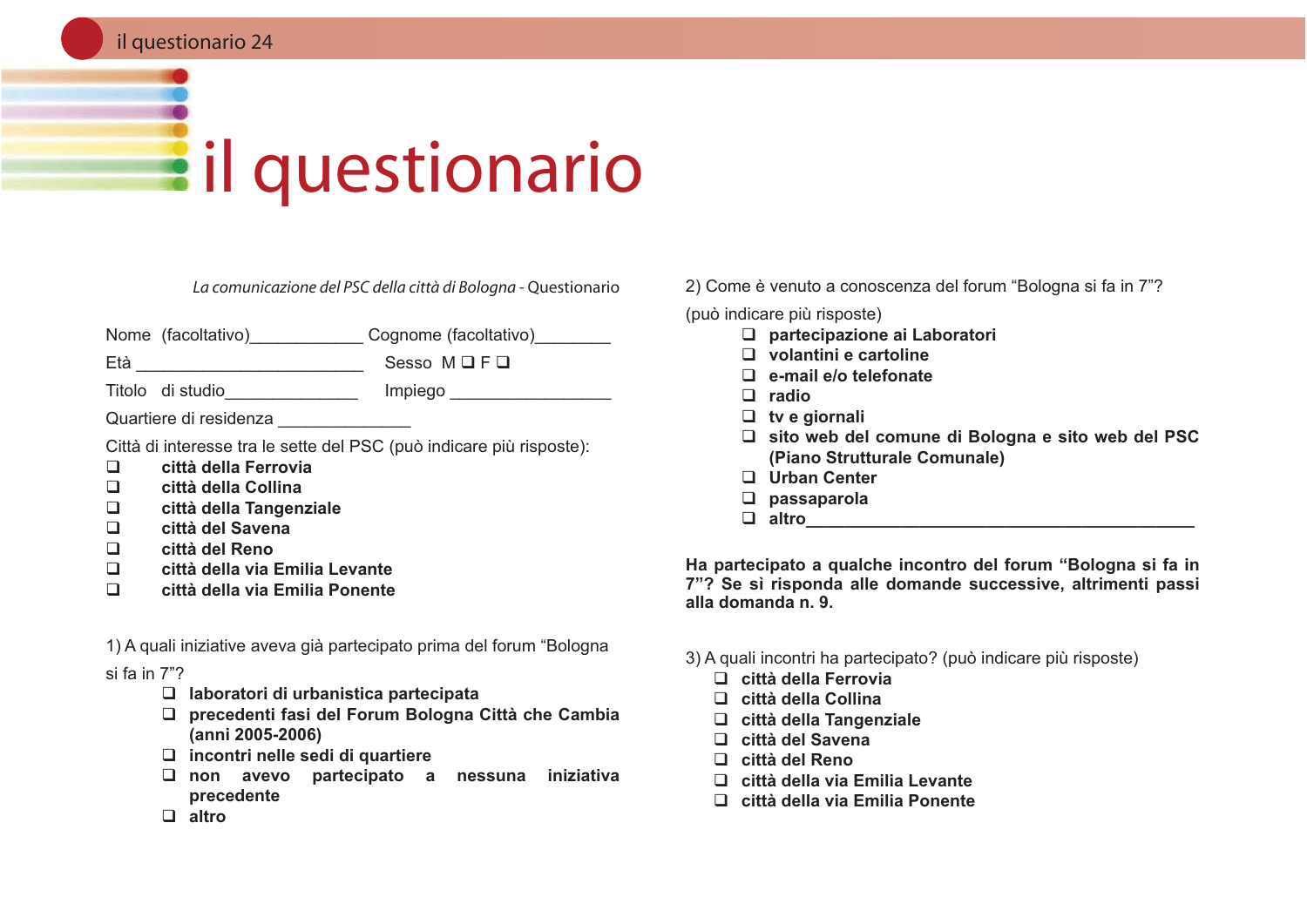#### il questionario 24

# **Eil questionario**

La comunicazione del PSC della città di Bologna - Questionario

Nome (facoltativo) Cognome (facoltativo)

Titolo di studio e che che il propiego di studio di studio di studio di studio di studio di studio di studio d

Quartiere di residenza

Città di interesse tra le sette del PSC (può indicare più risposte):

- città della Ferrovia  $\Box$
- $\Box$ città della Collina
- città della Tangenziale  $\Box$
- $\Box$ città del Savena
- $\Box$ città del Reno
- $\Box$ città della via Emilia Levante
- $\Box$ città della via Emilia Ponente

1) A quali iniziative aveva già partecipato prima del forum "Bologna

si fa in 7"?

- $\Box$  laboratori di urbanistica partecipata
- □ precedenti fasi del Forum Bologna Città che Cambia (anni 2005-2006)
- $\Box$  incontri nelle sedi di quartiere
- □ non avevo partecipato a nessuna iniziativa precedente

2) Come è venuto a conoscenza del forum "Bologna si fa in 7"?

(può indicare più risposte)

- $\Box$  partecipazione ai Laboratori
- $\Box$  volantini e cartoline
- $\Box$  e-mail e/o telefonate
- $\Box$  radio
- $\Box$  tv e giornali
- □ sito web del comune di Bologna e sito web del PSC (Piano Strutturale Comunale)
- □ Urban Center
- $\Box$  passaparola
- $\Box$  altro  $\Box$

Ha partecipato a qualche incontro del forum "Bologna si fa in 7"? Se sì risponda alle domande successive, altrimenti passi alla domanda n. 9.

- 3) A quali incontri ha partecipato? (può indicare più risposte)
	- $\Box$  città della Ferrovia
	- $\Box$  città della Collina
	- $\Box$  città della Tangenziale
	- $\Box$  città del Savena
	- $\Box$  città del Reno
	- $\Box$  città della via Emilia Levante
	- $\Box$  città della via Emilia Ponente

 $\Box$  altro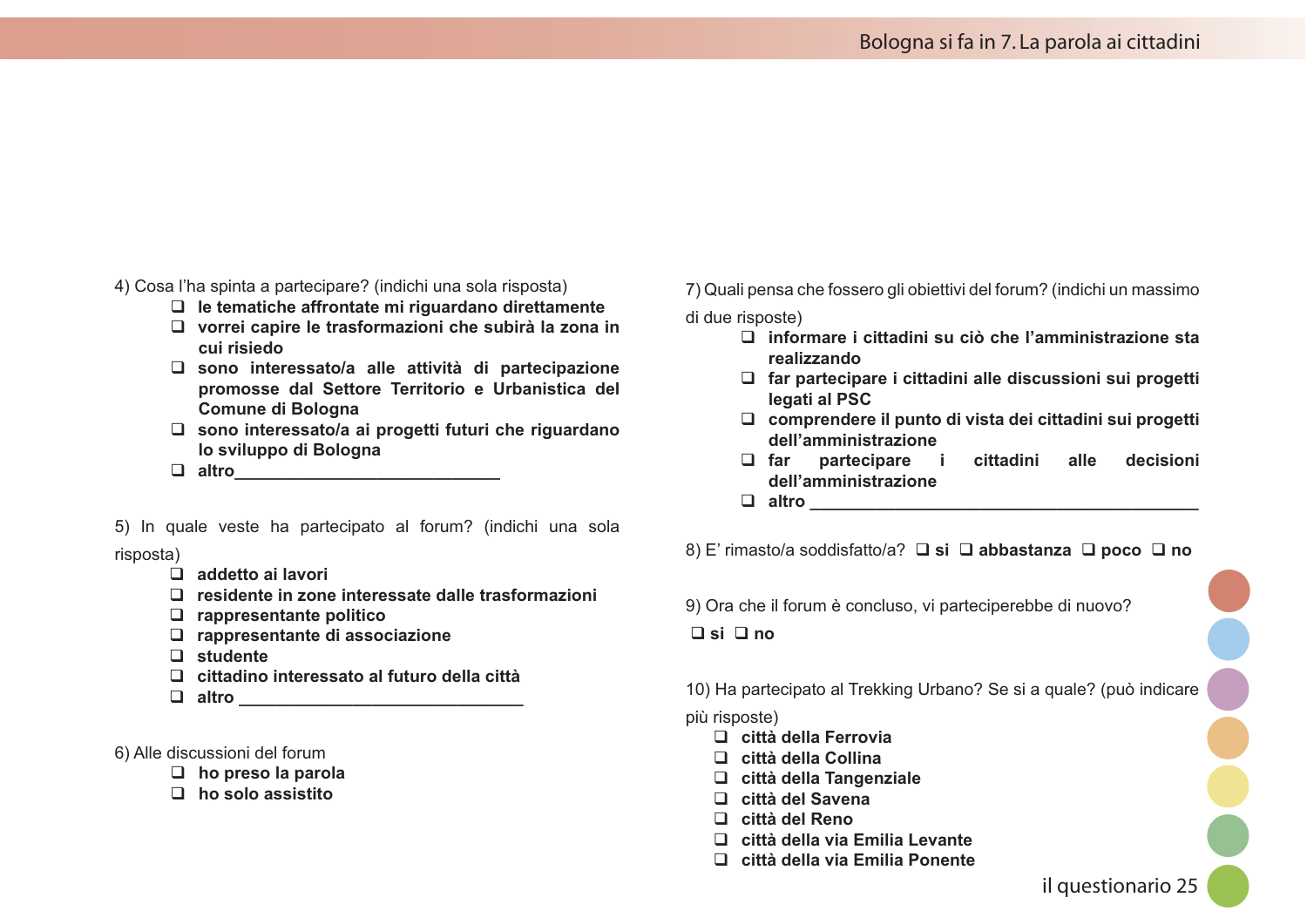4) Cosa l'ha spinta a partecipare? (indichi una sola risposta)

- $\Box$  le tematiche affrontate mi riquardano direttamente
- □ vorrei capire le trasformazioni che subirà la zona in cui risiedo
- $\square$  sono interessato/a alle attività di partecipazione promosse dal Settore Territorio e Urbanistica del **Comune di Bologna**
- $\square$  sono interessato/a ai progetti futuri che riguardano lo sviluppo di Bologna
- $\Box$  altro

5) In quale veste ha partecipato al forum? (indichi una sola risposta)

- $\Box$  addetto ai lavori
- $\Box$  residente in zone interessate dalle trasformazioni
- $\Box$  rappresentante politico
- □ rappresentante di associazione
- $\Box$  studente
- $\Box$  cittadino interessato al futuro della città
- $\Box$  altro

6) Alle discussioni del forum

- $\Box$  ho preso la parola
- $\Box$  ho solo assistito

7) Quali pensa che fossero gli obiettivi del forum? (indichi un massimo

di due risposte)

- $\Box$  informare i cittadini su ciò che l'amministrazione sta realizzando
- □ far partecipare i cittadini alle discussioni sui progetti legati al PSC
- □ comprendere il punto di vista dei cittadini sui progetti dell'amministrazione
- partecipare i cittadini alle decisioni  $\Box$  far dell'amministrazione
- $\Box$  altro

8) E' rimasto/a soddisfatto/a? **□ si □ abbastanza □ poco □ no** 

9) Ora che il forum è concluso, vi parteciperebbe di nuovo?

 $\Box$  si  $\Box$  no

10) Ha partecipato al Trekking Urbano? Se si a quale? (può indicare

#### più risposte)

- $\Box$  città della Ferrovia
- $\Box$  città della Collina
- □ città della Tangenziale
- □ città del Savena
- $\Box$  città del Reno
- $\Box$  città della via Emilia Levante
- □ città della via Emilia Ponente

il questionario 25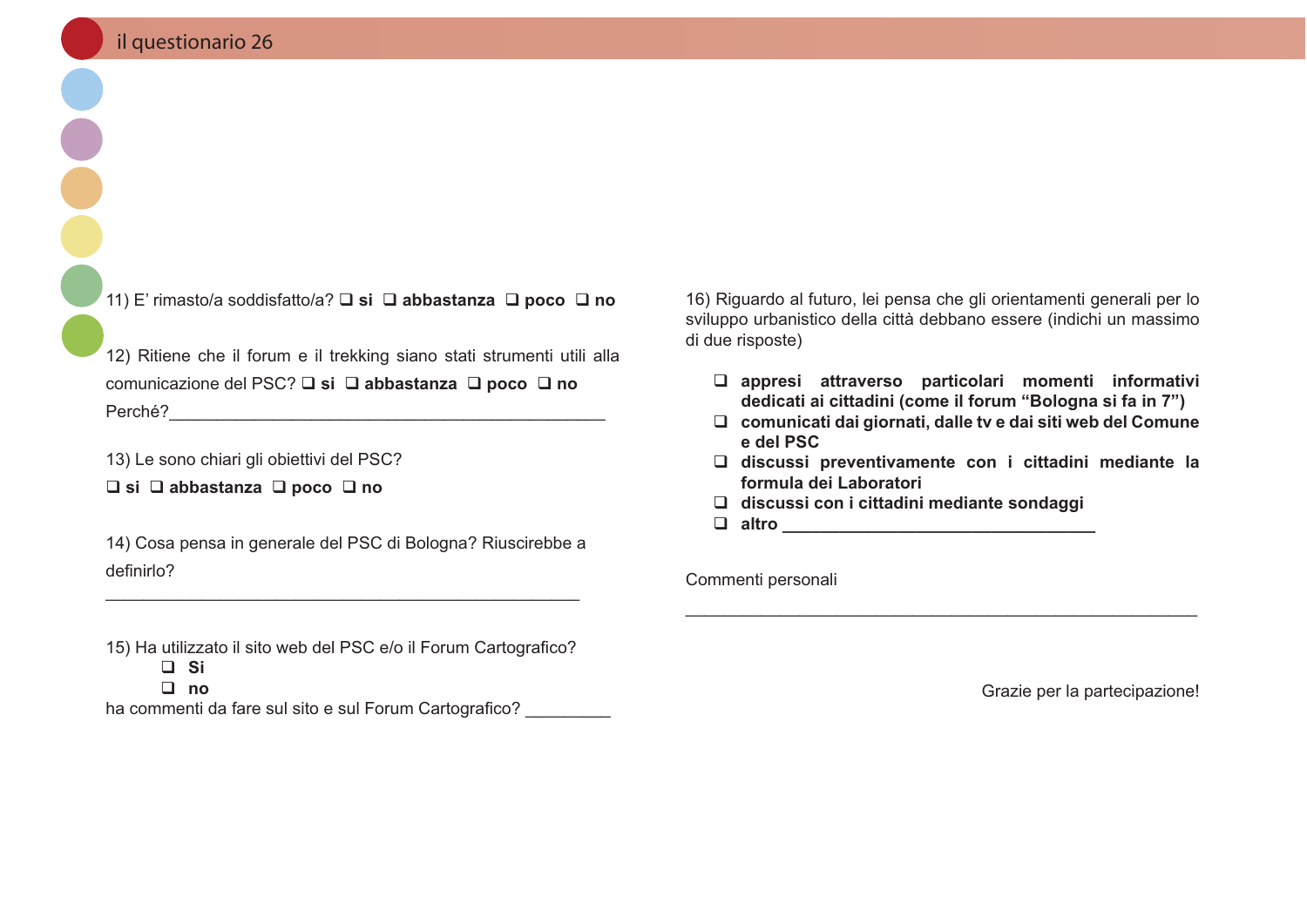11) E' rimasto/a soddisfatto/a?  $\square$  si  $\square$  abbastanza  $\square$  poco  $\square$  no

12) Ritiene che il forum e il trekking siano stati strumenti utili alla comunicazione del PSC? **Q** si **Q** abbastanza **Q** poco **Q** no 

13) Le sono chiari gli obiettivi del PSC?

 $\Box$  si  $\Box$  abbastanza  $\Box$  poco  $\Box$  no

14) Cosa pensa in generale del PSC di Bologna? Riuscirebbe a definirlo?

15) Ha utilizzato il sito web del PSC e/o il Forum Cartografico?  $\Box$  Si  $\Box$  no

ha commenti da fare sul sito e sul Forum Cartografico?

16) Riguardo al futuro, lei pensa che gli orientamenti generali per lo sviluppo urbanistico della città debbano essere (indichi un massimo di due risposte)

- □ appresi attraverso particolari momenti informativi dedicati ai cittadini (come il forum "Bologna si fa in 7")
- □ comunicati dai giornati, dalle tv e dai siti web del Comune e del PSC
- □ discussi preventivamente con i cittadini mediante la formula dei Laboratori
- $\Box$  discussi con i cittadini mediante sondaggi
- 

Commenti personali

Grazie per la partecipazione!